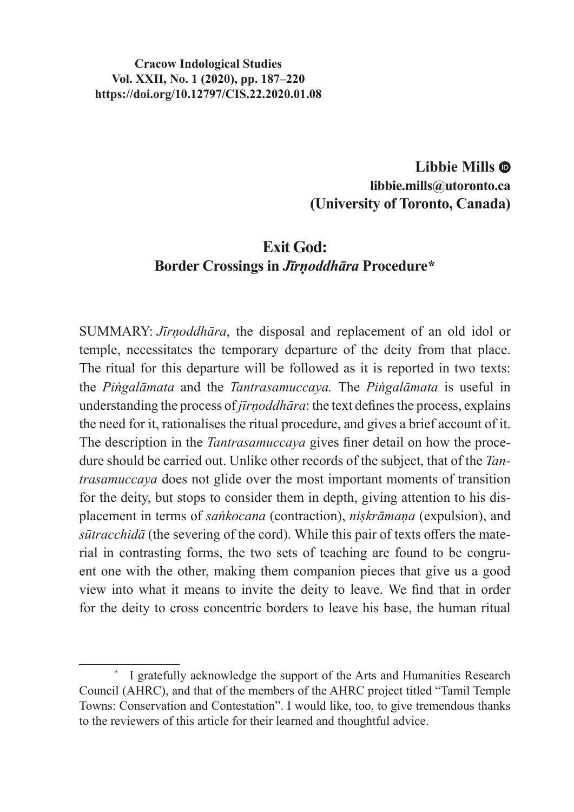#### **Cracow Indological Studies Vol. XXII, No. 1 (2020), pp. 187–220 https://doi.org/10.12797/CIS.22.2020.01.08**

## **Libbie Mills libbie.mills@utoronto.ca (University of Toronto, Canada)**

## **Exit God: Border Crossings in** *Jīrṇoddhāra* **Procedure\***

SUMMARY: *Jīrṇoddhāra*, the disposal and replacement of an old idol or temple, necessitates the temporary departure of the deity from that place. The ritual for this departure will be followed as it is reported in two texts: the *Piṅgalāmata* and the *Tantrasamuccaya.* The *Piṅgalāmata* is useful in understanding the process of *jīrṇoddhāra*: the text defines the process, explains the need for it, rationalises the ritual procedure, and gives a brief account of it. The description in the *Tantrasamuccaya* gives finer detail on how the procedure should be carried out. Unlike other records of the subject, that of the *Tantrasamuccaya* does not glide over the most important moments of transition for the deity, but stops to consider them in depth, giving attention to his displacement in terms of *saṅkocana* (contraction), *niṣkrāmaṇa* (expulsion), and *sūtracchidā* (the severing of the cord). While this pair of texts offers the material in contrasting forms, the two sets of teaching are found to be congruent one with the other, making them companion pieces that give us a good view into what it means to invite the deity to leave. We find that in order for the deity to cross concentric borders to leave his base, the human ritual

I gratefully acknowledge the support of the Arts and Humanities Research Council (AHRC), and that of the members of the AHRC project titled "Tamil Temple Towns: Conservation and Contestation". I would like, too, to give tremendous thanks to the reviewers of this article for their learned and thoughtful advice.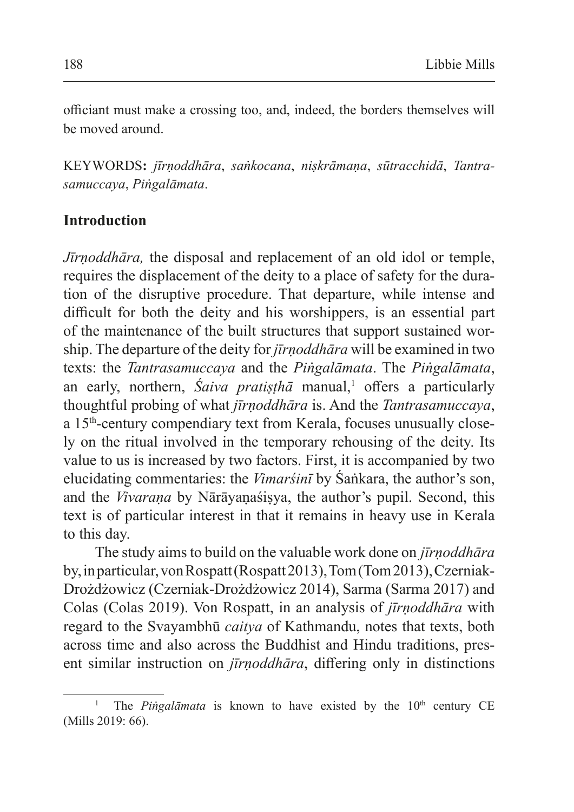officiant must make a crossing too, and, indeed, the borders themselves will be moved around.

KEYWORDS**:** *jīrṇoddhāra*, *saṅkocana*, *niṣkrāmaṇa*, *sūtracchidā*, *Tantrasamuccaya*, *Piṅgalāmata*.

### **Introduction**

*Jīrṇoddhāra,* the disposal and replacement of an old idol or temple, requires the displacement of the deity to a place of safety for the duration of the disruptive procedure. That departure, while intense and difficult for both the deity and his worshippers, is an essential part of the maintenance of the built structures that support sustained worship. The departure of the deity for *jīrṇoddhāra* will be examined in two texts: the *Tantrasamuccaya* and the *Piṅgalāmata*. The *Piṅgalāmata*, an early, northern, *Saiva pratiṣṭhā* manual,<sup>1</sup> offers a particularly thoughtful probing of what *jīrṇoddhāra* is. And the *Tantrasamuccaya*, a 15th-century compendiary text from Kerala, focuses unusually closely on the ritual involved in the temporary rehousing of the deity. Its value to us is increased by two factors. First, it is accompanied by two elucidating commentaries: the *Vimarśinī* by Śaṅkara, the author's son, and the *Vivaraṇa* by Nārāyaṇaśiṣya, the author's pupil. Second, this text is of particular interest in that it remains in heavy use in Kerala to this day.

The study aims to build on the valuable work done on *jīrṇoddhāra* by, inparticular, von Rospatt (Rospatt 2013), Tom (Tom 2013), Czerniak-Drożdżowicz (Czerniak-Drożdżowicz 2014), Sarma (Sarma 2017) and Colas (Colas 2019). Von Rospatt, in an analysis of *jīrṇoddhāra* with regard to the Svayambhū *caitya* of Kathmandu, notes that texts, both across time and also across the Buddhist and Hindu traditions, present similar instruction on *jīrṇoddhāra*, differing only in distinctions

The *Pingalāmata* is known to have existed by the 10<sup>th</sup> century CE (Mills 2019: 66).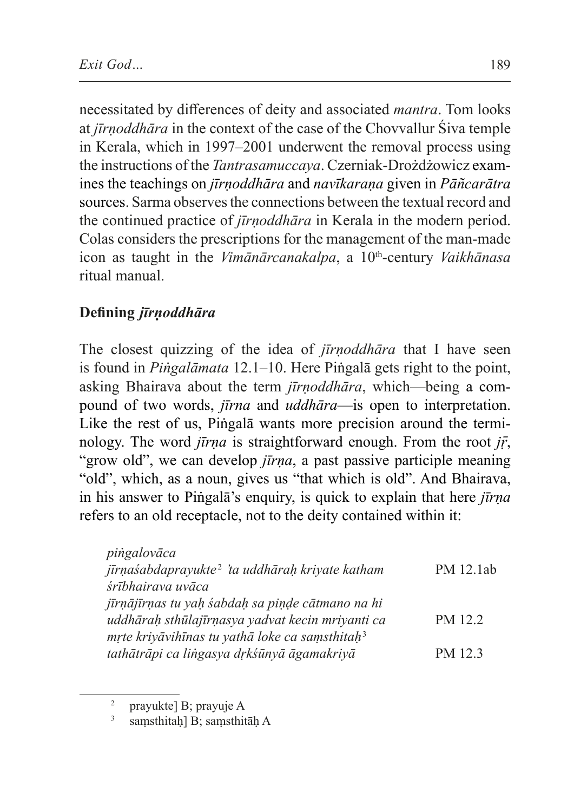necessitated by differences of deity and associated *mantra*. Tom looks at *jīrṇoddhāra* in the context of the case of the Chovvallur Śiva temple in Kerala, which in 1997–2001 underwent the removal process using the instructions of the *Tantrasamuccaya*. Czerniak-Drożdżowicz examines the teachings on *jīrṇoddhāra* and *navīkaraṇa* given in *Pāñcarātra* sources. Sarma observes the connections between the textual record and the continued practice of *jīrṇoddhāra* in Kerala in the modern period. Colas considers the prescriptions for the management of the man-made icon as taught in the *Vimānārcanakalpa*, a 10<sup>th</sup>-century *Vaikhānasa* ritual manual.

# **Defining** *jīrṇoddhāra*

The closest quizzing of the idea of *jīrṇoddhāra* that I have seen is found in *Piṅgalāmata* 12.1–10. Here Piṅgalā gets right to the point, asking Bhairava about the term *jīrṇoddhāra*, which—being a compound of two words, *jīrna* and *uddhāra*—is open to interpretation. Like the rest of us, Piṅgalā wants more precision around the terminology. The word *jīrṇa* is straightforward enough. From the root *jṝ*, "grow old", we can develop *jīrna*, a past passive participle meaning "old", which, as a noun, gives us "that which is old". And Bhairava, in his answer to Piṅgalā's enquiry, is quick to explain that here *jīrṇa* refers to an old receptacle, not to the deity contained within it:

| piṅgalovāca                                                 |           |
|-------------------------------------------------------------|-----------|
| jīrņaśabdaprayukte <sup>2</sup> 'ta uddhāraḥ kriyate katham | PM 12.1ab |
| śrībhairava uvāca                                           |           |
| jīrņājīrņas tu yaḥ śabdaḥ sa piṇḍe cātmano na hi            |           |
| uddhārah sthūlajīrnasya yadvat kecin mriyanti ca            | PM 12.2   |
| mrte kriyāvihīnas tu yathā loke ca samsthitaḥ <sup>3</sup>  |           |
| tathātrāpi ca lingasya dṛkśūnyā āgamakriyā                  | PM 12.3   |

<sup>2</sup> prayukte] B; prayuje A

<sup>&</sup>lt;sup>3</sup> samsthitah] B; samsthitāh A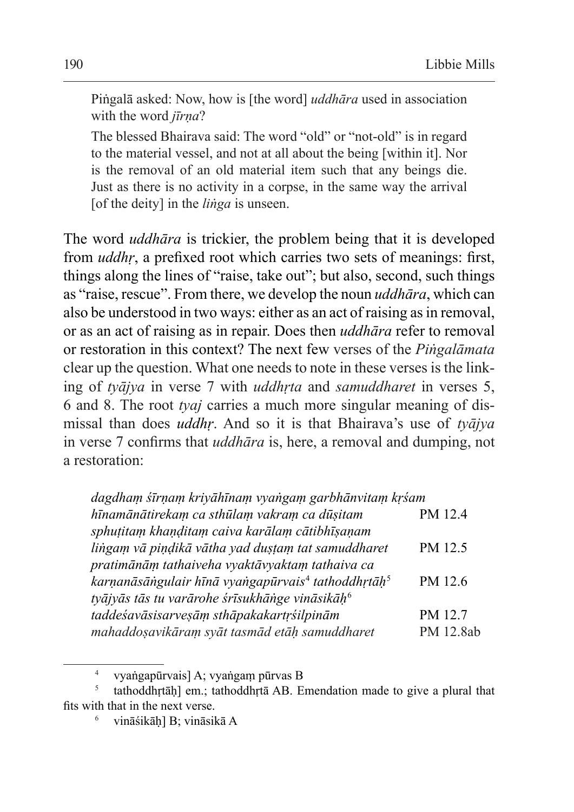Piṅgalā asked: Now, how is [the word] *uddhāra* used in association with the word *jīrna*?

The blessed Bhairava said: The word "old" or "not-old" is in regard to the material vessel, and not at all about the being [within it]. Nor is the removal of an old material item such that any beings die. Just as there is no activity in a corpse, in the same way the arrival [of the deity] in the *liṅga* is unseen.

The word *uddhāra* is trickier, the problem being that it is developed from *uddhr*, a prefixed root which carries two sets of meanings: first, things along the lines of "raise, take out"; but also, second, such things as "raise, rescue". From there, we develop the noun *uddhāra*, which can also be understood in two ways: either as an act of raising as in removal, or as an act of raising as in repair. Does then *uddhāra* refer to removal or restoration in this context? The next few verses of the *Piṅgalāmata* clear up the question. What one needs to note in these verses is the linking of *tyājya* in verse 7 with *uddhṛta* and *samuddharet* in verses 5, 6 and 8. The root *tyaj* carries a much more singular meaning of dismissal than does *uddhṛ*. And so it is that Bhairava's use of *tyājya* in verse 7 confirms that *uddhāra* is, here, a removal and dumping, not a restoration:

| dagdham śīrnam kriyāhīnam vyangam garbhānvitam krśam                       |           |
|----------------------------------------------------------------------------|-----------|
| hīnamānātirekam ca sthūlam vakram ca dūsitam                               | PM 12.4   |
| sphuțitam khanditam caiva karālam cātibhīsanam                             |           |
| lingam vā piņdikā vātha yad dustam tat samuddharet                         | PM 12.5   |
| pratimānām tathaiveha vyaktāvyaktam tathaiva ca                            |           |
| karņanāsāngulair hīnā vyangapūrvais <sup>4</sup> tathoddhrtāh <sup>5</sup> | PM 12.6   |
| tyājyās tās tu varārohe śrīsukhānge vināsikāh <sup>6</sup>                 |           |
| taddeśavāsisarveşām sthāpakakartŗśilpinām                                  | PM 12.7   |
| mahaddoşavikāram syāt tasmād etāh samuddharet                              | PM 12.8ab |

<sup>4</sup> vyaṅgapūrvais] A; vyaṅgaṃ pūrvas B

tathoddhṛtāḥ] em.; tathoddhṛtā AB. Emendation made to give a plural that fits with that in the next verse.

vināśikāh] B; vināsikā A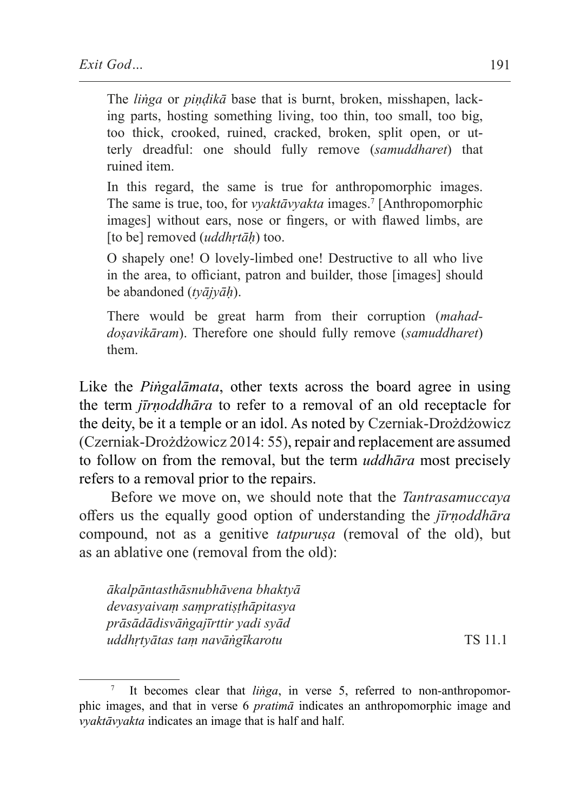The *liṅga* or *piṇḍikā* base that is burnt, broken, misshapen, lacking parts, hosting something living, too thin, too small, too big, too thick, crooked, ruined, cracked, broken, split open, or utterly dreadful: one should fully remove (*samuddharet*) that ruined item.

In this regard, the same is true for anthropomorphic images. The same is true, too, for *vyaktāvyakta* images.7 [Anthropomorphic images] without ears, nose or fingers, or with flawed limbs, are [to be] removed (*uddhṛtāḥ*) too.

O shapely one! O lovely-limbed one! Destructive to all who live in the area, to officiant, patron and builder, those [images] should be abandoned (*tyājyāḥ*).

There would be great harm from their corruption (*mahaddoṣavikāram*). Therefore one should fully remove (*samuddharet*) them.

Like the *Piṅgalāmata*, other texts across the board agree in using the term *jīrṇoddhāra* to refer to a removal of an old receptacle for the deity, be it a temple or an idol. As noted by Czerniak-Drożdżowicz (Czerniak-Drożdżowicz 2014: 55), repair and replacement are assumed to follow on from the removal, but the term *uddhāra* most precisely refers to a removal prior to the repairs.

Before we move on, we should note that the *Tantrasamuccaya* offers us the equally good option of understanding the *jīrṇoddhāra* compound, not as a genitive *tatpuruṣa* (removal of the old), but as an ablative one (removal from the old):

*ākalpāntasthāsnubhāvena bhaktyā devasyaivaṃ saṃpratiṣṭhāpitasya prāsādādisvāṅgajīrttir yadi syād uddhṛtyātas taṃ navāṅgīkarotu* TS 11.1

It becomes clear that *linga*, in verse 5, referred to non-anthropomorphic images, and that in verse 6 *pratimā* indicates an anthropomorphic image and *vyaktāvyakta* indicates an image that is half and half.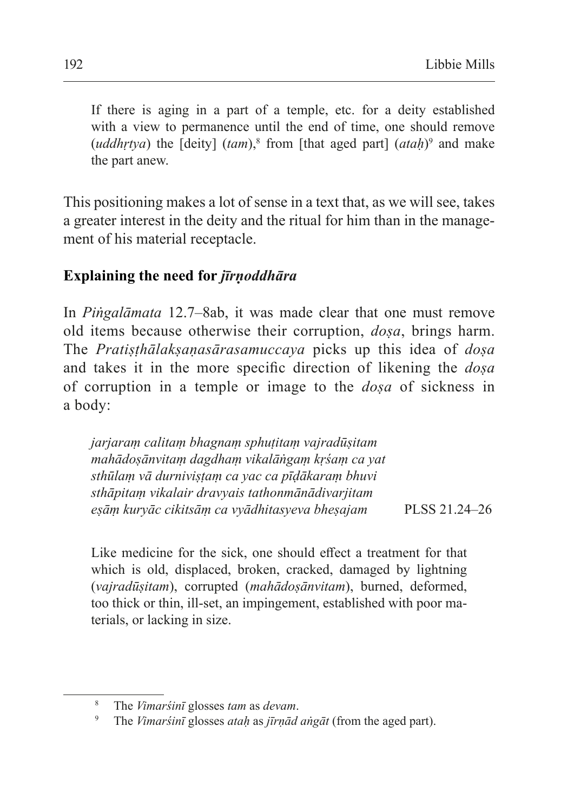If there is aging in a part of a temple, etc. for a deity established with a view to permanence until the end of time, one should remove  $(uddhrtya)$  the  $[deity]$   $(tam)$ ,<sup>8</sup> from [that aged part]  $(atah)$ <sup>9</sup> and make the part anew.

This positioning makes a lot of sense in a text that, as we will see, takes a greater interest in the deity and the ritual for him than in the management of his material receptacle.

### **Explaining the need for** *jīrṇoddhāra*

In *Piṅgalāmata* 12.7–8ab, it was made clear that one must remove old items because otherwise their corruption, *doṣa*, brings harm. The *Pratiṣṭhālakṣaṇasārasamuccaya* picks up this idea of *doṣa* and takes it in the more specific direction of likening the *doṣa* of corruption in a temple or image to the *doṣa* of sickness in a body:

*jarjaraṃ calitaṃ bhagnaṃ sphuṭitaṃ vajradūṣitam mahādoṣānvitaṃ dagdhaṃ vikalāṅgaṃ kṛśaṃ ca yat sthūlaṃ vā durniviṣṭaṃ ca yac ca pīḍākaraṃ bhuvi sthāpitaṃ vikalair dravyais tathonmānādivarjitam eṣāṃ kuryāc cikitsāṃ ca vyādhitasyeva bheṣajam* PLSS 21.24–26

Like medicine for the sick, one should effect a treatment for that which is old, displaced, broken, cracked, damaged by lightning (*vajradūṣitam*), corrupted (*mahādoṣānvitam*), burned, deformed, too thick or thin, ill-set, an impingement, established with poor materials, or lacking in size.

<sup>8</sup> The *Vimarśinī* glosses *tam* as *devam*.

<sup>9</sup> The *Vimarśinī* glosses *ataḥ* as *jīrṇād aṅgāt* (from the aged part).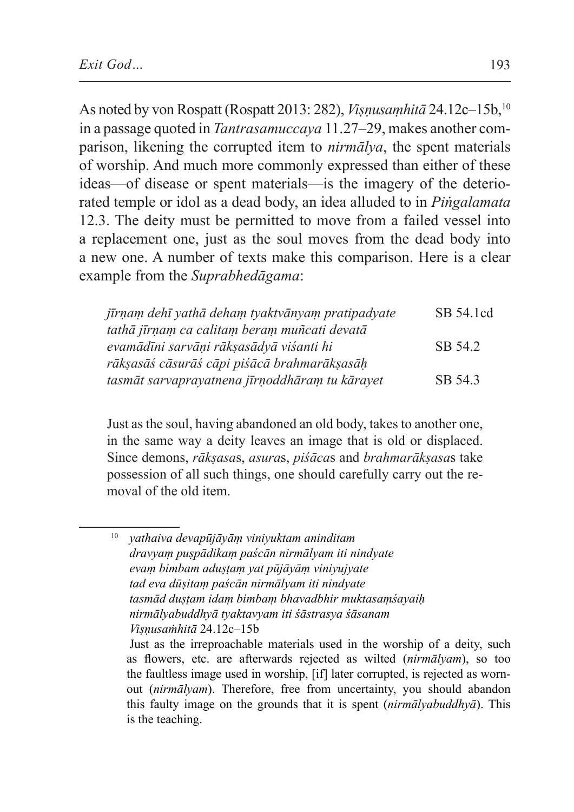As noted by von Rospatt (Rospatt 2013: 282), *Viṣṇusaṃhitā* 24.12c–15b,10 in a passage quoted in *Tantrasamuccaya* 11.27–29, makes another comparison, likening the corrupted item to *nirmālya*, the spent materials of worship. And much more commonly expressed than either of these ideas—of disease or spent materials—is the imagery of the deteriorated temple or idol as a dead body, an idea alluded to in *Piṅgalamata* 12.3. The deity must be permitted to move from a failed vessel into a replacement one, just as the soul moves from the dead body into a new one. A number of texts make this comparison. Here is a clear example from the *Suprabhedāgama*:

| jīrņam dehī yathā deham tyaktvānyam pratipadyate | SB 54.1cd |
|--------------------------------------------------|-----------|
| tathā jīrņam ca calitam beram muñcati devatā     |           |
| evamādīni sarvāņi rāksasādyā viśanti hi          | SB 54.2   |
| rākṣasāś cāsurāś cāpi piśācā brahmarākṣasāḥ      |           |
| tasmāt sarvaprayatnena jīrņoddhāram tu kārayet   | SB 54.3   |

Just as the soul, having abandoned an old body, takes to another one, in the same way a deity leaves an image that is old or displaced. Since demons, *rākṣasa*s, *asura*s, *piśāca*s and *brahmarākṣasa*s take possession of all such things, one should carefully carry out the removal of the old item.

<sup>10</sup> *yathaiva devapūjāyāṃ viniyuktam aninditam dravyaṃ puṣpādikaṃ paścān nirmālyam iti nindyate evaṃ bimbam aduṣṭaṃ yat pūjāyāṃ viniyujyate tad eva dūṣitaṃ paścān nirmālyam iti nindyate tasmād duṣṭam idaṃ bimbaṃ bhavadbhir muktasaṃśayaiḥ nirmālyabuddhyā tyaktavyam iti śāstrasya śāsanam Viṣṇusaṁhitā* 24.12c–15b Just as the irreproachable materials used in the worship of a deity, such

as flowers, etc. are afterwards rejected as wilted (*nirmālyam*), so too the faultless image used in worship, [if] later corrupted, is rejected as wornout (*nirmālyam*). Therefore, free from uncertainty, you should abandon this faulty image on the grounds that it is spent (*nirmālyabuddhyā*). This is the teaching.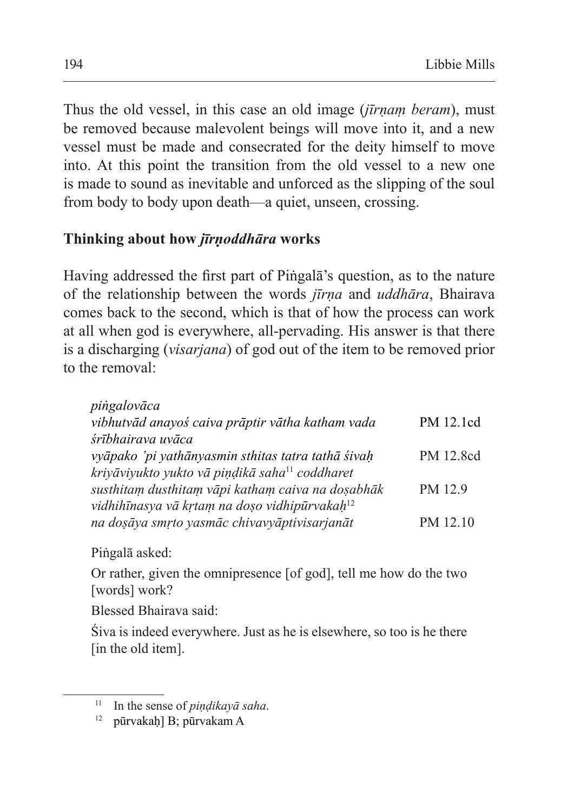Thus the old vessel, in this case an old image (*jīrṇaṃ beram*), must be removed because malevolent beings will move into it, and a new vessel must be made and consecrated for the deity himself to move into. At this point the transition from the old vessel to a new one is made to sound as inevitable and unforced as the slipping of the soul from body to body upon death—a quiet, unseen, crossing.

## **Thinking about how** *jīrṇoddhāra* **works**

Having addressed the first part of Piṅgalā's question, as to the nature of the relationship between the words *jīrṇa* and *uddhāra*, Bhairava comes back to the second, which is that of how the process can work at all when god is everywhere, all-pervading. His answer is that there is a discharging (*visarjana*) of god out of the item to be removed prior to the removal:

| pingalovāca                                                |           |
|------------------------------------------------------------|-----------|
| vibhutvād anayoś caiva prāptir vātha katham vada           | PM 12.1cd |
| śrībhairava uvāca                                          |           |
| vyāpako 'pi yathānyasmin sthitas tatra tathā śivah         | PM 12.8cd |
| kriyāviyukto yukto vā piņdikā saha <sup>11</sup> coddharet |           |
| susthitam dusthitam vāpi katham caiva na dosabhāk          | PM 12.9   |
| vidhihīnasya vā krtam na doșo vidhipūrvakah <sup>12</sup>  |           |
| na doșāya smrto yasmāc chivavyāptivisarjanāt               | PM 12.10  |
|                                                            |           |

Piṅgalā asked:

Or rather, given the omnipresence [of god], tell me how do the two [words] work?

Blessed Bhairava said:

Śiva is indeed everywhere. Just as he is elsewhere, so too is he there [in the old item].

<sup>11</sup> In the sense of *piṇḍikayā saha*.

<sup>12</sup> pūrvakaḥ] B; pūrvakam A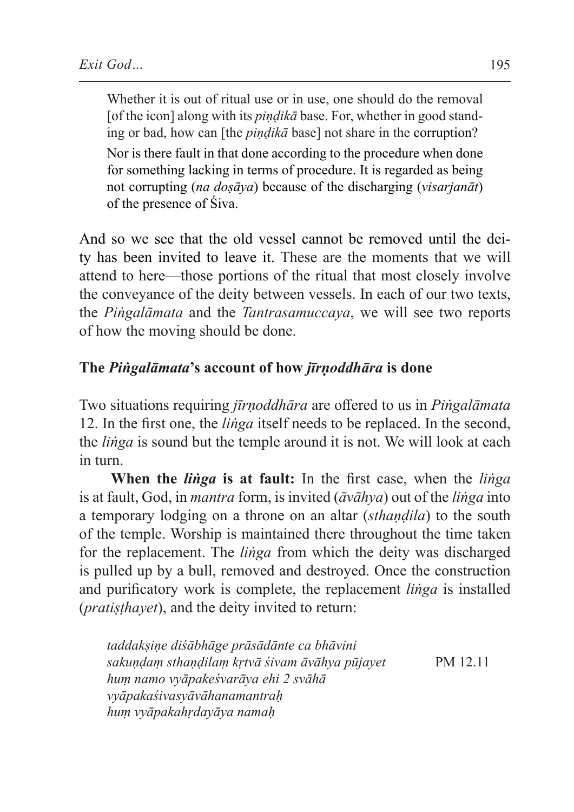Whether it is out of ritual use or in use, one should do the removal [of the icon] along with its *pindikā* base. For, whether in good standing or bad, how can [the *piṇḍikā* base] not share in the corruption?

Nor is there fault in that done according to the procedure when done for something lacking in terms of procedure. It is regarded as being not corrupting (*na doṣāya*) because of the discharging (*visarjanāt*) of the presence of Śiva.

And so we see that the old vessel cannot be removed until the deity has been invited to leave it. These are the moments that we will attend to here—those portions of the ritual that most closely involve the conveyance of the deity between vessels. In each of our two texts, the *Piṅgalāmata* and the *Tantrasamuccaya*, we will see two reports of how the moving should be done.

## **The** *Piṅgalāmata***'s account of how** *jīrṇoddhāra* **is done**

Two situations requiring *jīrṇoddhāra* are offered to us in *Piṅgalāmata* 12. In the first one, the *liṅga* itself needs to be replaced. In the second, the *liṅga* is sound but the temple around it is not. We will look at each in turn.

**When the** *liṅga* **is at fault:** In the first case, when the *liṅga* is at fault, God, in *mantra* form, is invited (*āvāhya*) out of the *liṅga* into a temporary lodging on a throne on an altar (*sthaṇḍila*) to the south of the temple. Worship is maintained there throughout the time taken for the replacement. The *liṅga* from which the deity was discharged is pulled up by a bull, removed and destroyed. Once the construction and purificatory work is complete, the replacement *liṅga* is installed (*pratiṣṭhayet*), and the deity invited to return:

*taddakṣiṇe diśābhāge prāsādānte ca bhāvini sakuṇḍaṃ sthaṇḍilaṃ kṛtvā śivam āvāhya pūjayet* PM 12.11 *huṃ namo vyāpakeśvarāya ehi 2 svāhā vyāpakaśivasyāvāhanamantraḥ huṃ vyāpakahṛdayāya namaḥ*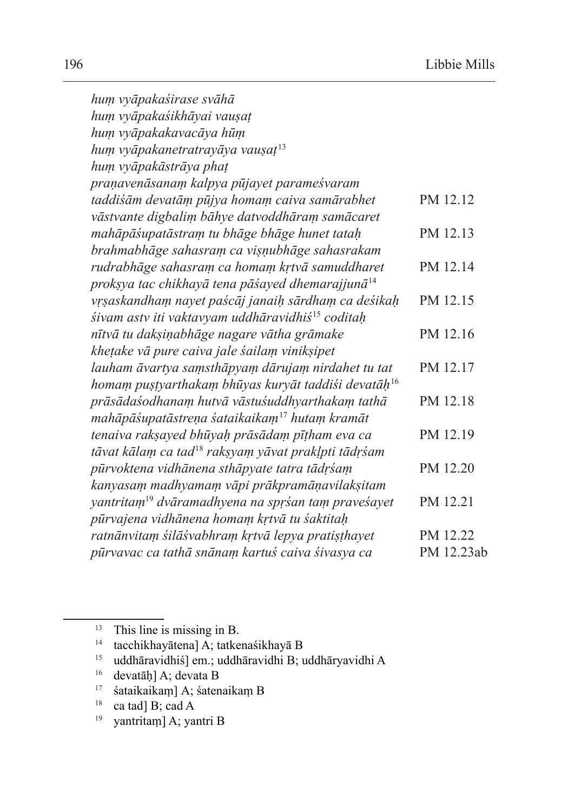| hum vyāpakaśirase svāhā                                         |            |
|-----------------------------------------------------------------|------------|
| hum vyāpakaśikhāyai vauşaț                                      |            |
| hum vyāpakakavacāya hūm                                         |            |
| hum vyāpakanetratrayāya vausaț <sup>13</sup>                    |            |
| hum vyāpakāstrāya phaț                                          |            |
| praņavenāsanam kalpya pūjayet parameśvaram                      |            |
| taddiśām devatām pūjya homam caiva samārabhet                   | PM 12.12   |
| vāstvante digbalim bāhye datvoddhāram samācaret                 |            |
| mahāpāśupatāstram tu bhāge bhāge hunet tatah                    | PM 12.13   |
| brahmabhāge sahasram ca vișņubhāge sahasrakam                   |            |
| rudrabhāge sahasram ca homam krtvā samuddharet                  | PM 12.14   |
| proksya tac chikhayā tena pāśayed dhemarajjunā <sup>14</sup>    |            |
| vrşaskandham nayet paścāj janaih sārdham ca deśikah             | PM 12.15   |
| śivam astv iti vaktavyam uddhāravidhiś <sup>15</sup> coditah    |            |
| nītvā tu dakșiņabhāge nagare vātha grāmake                      | PM 12.16   |
| khețake vā pure caiva jale śailam vinikșipet                    |            |
| lauham āvartya samsthāpyam dārujam nirdahet tu tat              | PM 12.17   |
| homam pustyarthakam bhūyas kuryāt taddiśi devatāh <sup>16</sup> |            |
| prāsādaśodhanam hutvā vāstuśuddhyarthakam tathā                 | PM 12.18   |
| mahāpāśupatāstreņa śataikaikam <sup>17</sup> hutam kramāt       |            |
| tenaiva raksayed bhūyah prāsādam pītham eva ca                  | PM 12.19   |
| tāvat kālam ca tad <sup>18</sup> raksyam yāvat prakļpti tādrśam |            |
| pūrvoktena vidhānena sthāpyate tatra tādrśam                    | PM 12.20   |
| kanyasam madhyamam vāpi prākpramāņavilaksitam                   |            |
| yantritam <sup>19</sup> dvāramadhyena na sprśan tam praveśayet  | PM 12.21   |
| pūrvajena vidhānena homam krtvā tu śaktitah                     |            |
| ratnānvitam śilāśvabhram krtvā lepya pratisthayet               | PM 12.22   |
| pūrvavac ca tathā snānam kartuś caiva śivasya ca                | PM 12.23ab |

yantritam] A; yantri B

 $13$  This line is missing in B.

 $14$  tacchikhayātena]  $\overrightarrow{A}$ ; tatkenaśikhayā B

<sup>15</sup> uddhāravidhiś] em.; uddhāravidhi B; uddhāryavidhi A

<sup>16</sup> devatāḥ] A; devata B

<sup>17</sup> śataikaikaṃ] A; śatenaikaṃ B

<sup>&</sup>lt;sup>18</sup> ca tad] B; cad A<br><sup>19</sup> vantritam] A · van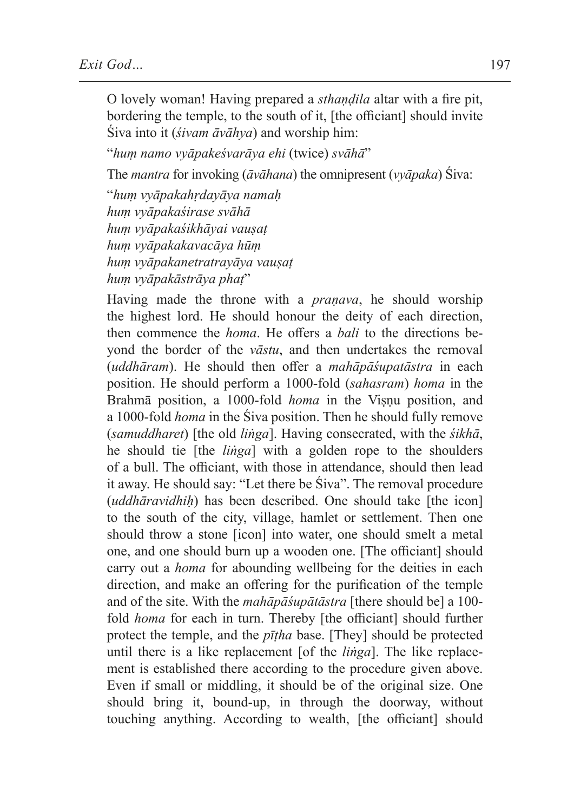O lovely woman! Having prepared a *sthaṇḍila* altar with a fire pit, bordering the temple, to the south of it, [the officiant] should invite Śiva into it (*śivam āvāhya*) and worship him:

"*huṃ namo vyāpakeśvarāya ehi* (twice) *svāhā*"

The *mantra* for invoking (*āvāhana*) the omnipresent (*vyāpaka*) Śiva:

"*huṃ vyāpakahṛdayāya namaḥ huṃ vyāpakaśirase svāhā huṃ vyāpakaśikhāyai vauṣaṭ huṃ vyāpakakavacāya hūṃ huṃ vyāpakanetratrayāya vauṣaṭ huṃ vyāpakāstrāya phaṭ*"

Having made the throne with a *praṇava*, he should worship the highest lord. He should honour the deity of each direction, then commence the *homa*. He offers a *bali* to the directions beyond the border of the *vāstu*, and then undertakes the removal (*uddhāram*). He should then offer a *mahāpāśupatāstra* in each position. He should perform a 1000-fold (*sahasram*) *homa* in the Brahmā position, a 1000-fold *homa* in the Viṣṇu position, and a 1000-fold *homa* in the Śiva position. Then he should fully remove (*samuddharet*) [the old *liṅga*]. Having consecrated, with the *śikhā*, he should tie [the *liṅga*] with a golden rope to the shoulders of a bull. The officiant, with those in attendance, should then lead it away. He should say: "Let there be Śiva". The removal procedure (*uddhāravidhiḥ*) has been described. One should take [the icon] to the south of the city, village, hamlet or settlement. Then one should throw a stone [icon] into water, one should smelt a metal one, and one should burn up a wooden one. [The officiant] should carry out a *homa* for abounding wellbeing for the deities in each direction, and make an offering for the purification of the temple and of the site. With the *mahāpāśupātāstra* [there should be] a 100 fold *homa* for each in turn. Thereby [the officiant] should further protect the temple, and the *pīṭha* base. [They] should be protected until there is a like replacement [of the *liṅga*]. The like replacement is established there according to the procedure given above. Even if small or middling, it should be of the original size. One should bring it, bound-up, in through the doorway, without touching anything. According to wealth, [the officiant] should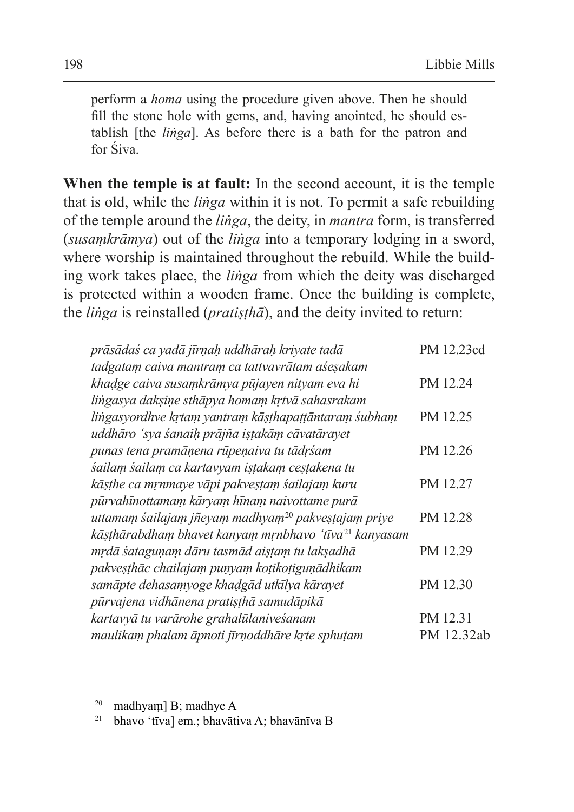perform a *homa* using the procedure given above. Then he should fill the stone hole with gems, and, having anointed, he should establish [the *liṅga*]. As before there is a bath for the patron and for Śiva.

**When the temple is at fault:** In the second account, it is the temple that is old, while the *liṅga* within it is not. To permit a safe rebuilding of the temple around the *liṅga*, the deity, in *mantra* form, is transferred (*susaṃkrāmya*) out of the *liṅga* into a temporary lodging in a sword, where worship is maintained throughout the rebuild. While the building work takes place, the *liṅga* from which the deity was discharged is protected within a wooden frame. Once the building is complete, the *liṅga* is reinstalled (*pratiṣṭhā*), and the deity invited to return:

| prāsādas ca yadā jīrņah uddhārah kriyate tadā                     | PM 12.23cd |
|-------------------------------------------------------------------|------------|
| tadgatam caiva mantram ca tattvavrātam aśesakam                   |            |
| khadge caiva susamkrāmya pūjayen nityam eva hi                    | PM 12.24   |
| lingasya dakşine sthāpya homam krtvā sahasrakam                   |            |
| lingasyordhve krtam yantram kāsthapaṭṭāntaram śubham              | PM 12.25   |
| uddhāro 'sya śanaih prājña istakām cāvatārayet                    |            |
| punas tena pramāņena rūpeņaiva tu tādrśam                         | PM 12.26   |
| śailam śailam ca kartavyam istakam cestakena tu                   |            |
| kāsthe ca mrnmaye vāpi pakvestam śailajam kuru                    | PM 12.27   |
| pūrvahīnottamam kāryam hīnam naivottame purā                      |            |
| uttamam śailajam jñeyam madhyam <sup>20</sup> pakvestajam priye   | PM 12.28   |
| kāsthārabdham bhavet kanyam mṛnbhavo 'tīva <sup>21</sup> kanyasam |            |
| mrdā śataguņam dāru tasmād aistam tu laksadhā                     | PM 12.29   |
| pakveşthāc chailajam punyam kotikotigunādhikam                    |            |
| samāpte dehasamyoge khadgād utkīlya kārayet                       | PM 12.30   |
| pūrvajena vidhānena pratisthā samudāpikā                          |            |
| kartavyā tu varārohe grahalūlaniveśanam                           | PM 12.31   |
| maulikam phalam āpnoti jīrnoddhāre krte sphuțam                   | PM 12.32ab |

<sup>21</sup> bhavo 'tīva] em.; bhavātiva A; bhavānīva B

<sup>20</sup> madhyaṃ] B; madhye A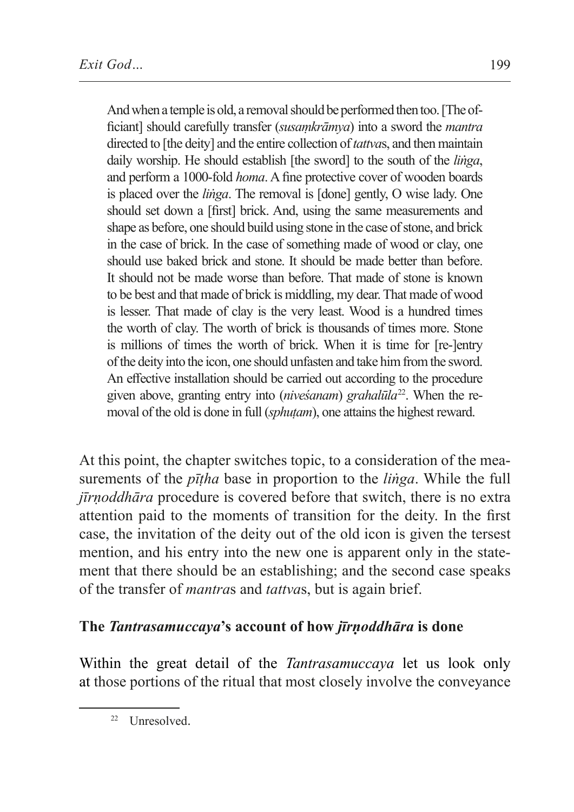And when a temple is old, a removal should be performed then too. [The officiant] should carefully transfer (*susaṃkrāmya*) into a sword the *mantra* directed to [the deity] and the entire collection of*tattva*s, and then maintain daily worship. He should establish [the sword] to the south of the *liṅga*, and perform a 1000-fold *homa*. A fine protective cover of wooden boards is placed over the *liṅga*. The removal is [done] gently, O wise lady. One should set down a [first] brick. And, using the same measurements and shape as before, one should build using stone in the case of stone, and brick in the case of brick. In the case of something made of wood or clay, one should use baked brick and stone. It should be made better than before. It should not be made worse than before. That made of stone is known to be best and that made of brick is middling, my dear. That made of wood is lesser. That made of clay is the very least. Wood is a hundred times the worth of clay. The worth of brick is thousands of times more. Stone is millions of times the worth of brick. When it is time for [re-]entry of the deity into the icon, one should unfasten and take him from the sword. An effective installation should be carried out according to the procedure given above, granting entry into (*niveśanam*) *grahalūla*22. When the removal of the old is done in full (*sphuṭam*), one attains the highest reward.

At this point, the chapter switches topic, to a consideration of the measurements of the *pīṭha* base in proportion to the *liṅga*. While the full *jīrṇoddhāra* procedure is covered before that switch, there is no extra attention paid to the moments of transition for the deity. In the first case, the invitation of the deity out of the old icon is given the tersest mention, and his entry into the new one is apparent only in the statement that there should be an establishing; and the second case speaks of the transfer of *mantra*s and *tattva*s, but is again brief.

## **The** *Tantrasamuccaya***'s account of how** *jīrṇoddhāra* **is done**

Within the great detail of the *Tantrasamuccaya* let us look only at those portions of the ritual that most closely involve the conveyance

<sup>&</sup>lt;sup>22</sup> Unresolved.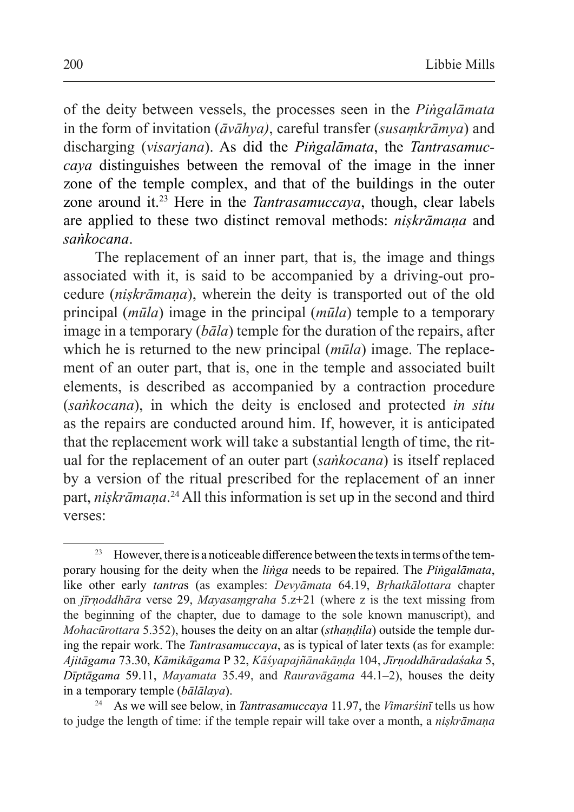of the deity between vessels, the processes seen in the *Piṅgalāmata* in the form of invitation (*āvāhya)*, careful transfer (*susaṃkrāmya*) and discharging (*visarjana*). As did the *Piṅgalāmata*, the *Tantrasamuccaya* distinguishes between the removal of the image in the inner zone of the temple complex, and that of the buildings in the outer zone around it.23 Here in the *Tantrasamuccaya*, though, clear labels are applied to these two distinct removal methods: *niṣkrāmaṇa* and *saṅkocana*.

The replacement of an inner part, that is, the image and things associated with it, is said to be accompanied by a driving-out procedure (*niṣkrāmaṇa*), wherein the deity is transported out of the old principal (*mūla*) image in the principal (*mūla*) temple to a temporary image in a temporary (*bāla*) temple for the duration of the repairs, after which he is returned to the new principal (*mūla*) image. The replacement of an outer part, that is, one in the temple and associated built elements, is described as accompanied by a contraction procedure (*saṅkocana*), in which the deity is enclosed and protected *in situ* as the repairs are conducted around him. If, however, it is anticipated that the replacement work will take a substantial length of time, the ritual for the replacement of an outer part (*saṅkocana*) is itself replaced by a version of the ritual prescribed for the replacement of an inner part, *niṣkrāmaṇa*. 24 All this information is set up in the second and third verses:

<sup>&</sup>lt;sup>23</sup> However, there is a noticeable difference between the texts in terms of the temporary housing for the deity when the *liṅga* needs to be repaired. The *Piṅgalāmata*, like other early *tantra*s (as examples: *Devyāmata* 64.19, *Bṛhatkālottara* chapter on *jīrṇoddhāra* verse 29, *Mayasaṃgraha* 5.z+21 (where z is the text missing from the beginning of the chapter, due to damage to the sole known manuscript), and *Mohacūrottara* 5.352), houses the deity on an altar (*sthaṇḍila*) outside the temple during the repair work. The *Tantrasamuccaya*, as is typical of later texts (as for example: *Ajitāgama* 73.30, *Kāmikāgama* P 32, *Kāśyapajñānakāṇḍa* 104, *Jīrṇoddhāradaśaka* 5, *Dīptāgama* 59.11, *Mayamata* 35.49, and *Rauravāgama* 44.1–2), houses the deity in a temporary temple (*bālālaya*).

<sup>24</sup> As we will see below, in *Tantrasamuccaya* 11.97, the *Vimarśinī* tells us how to judge the length of time: if the temple repair will take over a month, a *niṣkrāmaṇa*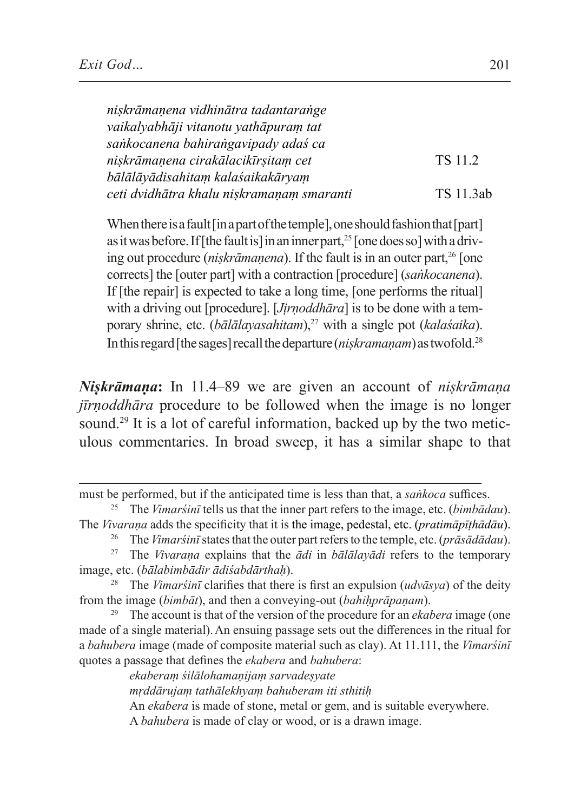| niskrāmanena vidhinātra tadantarange      |           |
|-------------------------------------------|-----------|
| vaikalyabhāji vitanotu yathāpuram tat     |           |
| sankocanena bahirangavipady adaś ca       |           |
| niskrāmanena cirakālacikīrsitam cet       | TS 11.2   |
| bālālāyādisahitam kalaśaikakāryam         |           |
| ceti dvidhātra khalu niskramanam smaranti | TS 11.3ab |

When there is a fault [in a part of the temple], one should fashion that [part] as it was before. If [the fault is] in an inner part,<sup>25</sup> [one does so] with a driving out procedure (*niṣkrāmaṇena*). If the fault is in an outer part,<sup>26</sup> [one corrects] the [outer part] with a contraction [procedure] (*saṅkocanena*). If [the repair] is expected to take a long time, [one performs the ritual] with a driving out [procedure]. [*Jịrṇoddhāra*] is to be done with a temporary shrine, etc. (*bālālayasahitam*),<sup>27</sup> with a single pot (*kalaśaika*). In this regard [the sages] recall the departure (*niskramanam*) as twofold.<sup>28</sup>

*Niṣkrāmaṇa***:** In 11.4–89 we are given an account of *niṣkrāmaṇa jīrṇoddhāra* procedure to be followed when the image is no longer sound.<sup>29</sup> It is a lot of careful information, backed up by the two meticulous commentaries. In broad sweep, it has a similar shape to that

*ekaberaṃ śilālohamaṇijaṃ sarvadeṣyate*

*mṛddārujaṃ tathālekhyaṃ bahuberam iti sthitiḥ*

An *ekabera* is made of stone, metal or gem, and is suitable everywhere.

A *bahubera* is made of clay or wood, or is a drawn image.

must be performed, but if the anticipated time is less than that, a *saṅkoca* suffices.

<sup>25</sup> The *Vimarśinī* tells us that the inner part refers to the image, etc. (*bimbādau*). The *Vivaraṇa* adds the specificity that it is the image, pedestal, etc. (*pratimāpīṭhādāu*).

<sup>26</sup> The *Vimarśinī* states that the outer part refers to the temple, etc. (*prāsādādau*).

<sup>27</sup> The *Vivaraṇa* explains that the *ādi* in *bālālayādi* refers to the temporary image, etc. (*bālabimbādir ādiśabdārthaḥ*).

<sup>28</sup> The *Vimarśinī* clarifies that there is first an expulsion (*udvāsya*) of the deity from the image (*bimbāt*), and then a conveying-out (*bahiḥprāpaṇam*).

<sup>29</sup> The account is that of the version of the procedure for an *ekabera* image (one made of a single material).An ensuing passage sets out the differences in the ritual for a *bahubera* image (made of composite material such as clay). At 11.111, the *Vimarśinī* quotes a passage that defines the *ekabera* and *bahubera*: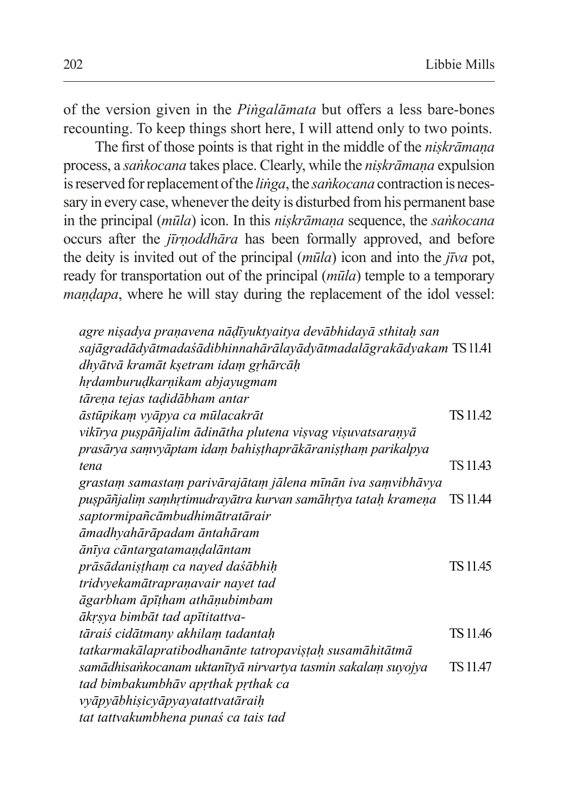of the version given in the *Piṅgalāmata* but offers a less bare-bones recounting. To keep things short here, I will attend only to two points.

The first of those points is that right in the middle of the *niṣkrāmaṇa* process, a *saṅkocana* takes place. Clearly, while the *niṣkrāmaṇa* expulsion is reserved for replacement of the *linga*, the *sankocana* contraction is necessary in every case, whenever the deity is disturbed from his permanent base in the principal (*mūla*) icon. In this *niṣkrāmaṇa* sequence, the *saṅkocana* occurs after the *jīrṇoddhāra* has been formally approved, and before the deity is invited out of the principal (*mūla*) icon and into the *jīva* pot, ready for transportation out of the principal (*mūla*) temple to a temporary *maṇḍapa*, where he will stay during the replacement of the idol vessel:

*agre niṣadya praṇavena nāḍīyuktyaitya devābhidayā sthitaḥ san sajāgradādyātmadaśādibhinnahārālayādyātmadalāgrakādyakam* TS11.41 *dhyātvā kramāt kṣetram idaṃ gṛhārcāḥ hṛdamburuḍkarṇikam abjayugmam tāreṇa tejas taḍidābham antar āstūpikaṃ vyāpya ca mūlacakrāt* TS11.42 *vikīrya puṣpāñjalim ādinātha plutena viṣvag viṣuvatsaraṇyā prasārya saṃvyāptam idaṃ bahiṣṭhaprākāraniṣṭhaṃ parikalpya tena* TS11.43 *grastaṃ samastaṃ parivārajātaṃ jālena mīnān iva saṃvibhāvya puṣpāñjaliṃ saṃhṛtimudrayātra kurvan samāhṛtya tataḥ krameṇa* TS11.44 *saptormipañcāmbudhimātratārair āmadhyahārāpadam āntahāram ānīya cāntargatamaṇḍalāntam prāsādaniṣṭhaṃ ca nayed daśābhiḥ* TS11.45 *tridvyekamātrapraṇavair nayet tad āgarbham āpīṭham athāṇubimbam ākṛṣya bimbāt tad apītitattvatāraiś cidātmany akhilam tadantah* TS11.46 *tatkarmakālapratibodhanānte tatropaviṣṭaḥ susamāhitātmā samādhisaṅkocanam uktanītyā nirvartya tasmin sakalaṃ suyojya* TS11.47 *tad bimbakumbhāv apṛthak pṛthak ca vyāpyābhiṣicyāpyayatattvatāraiḥ tat tattvakumbhena punaś ca tais tad*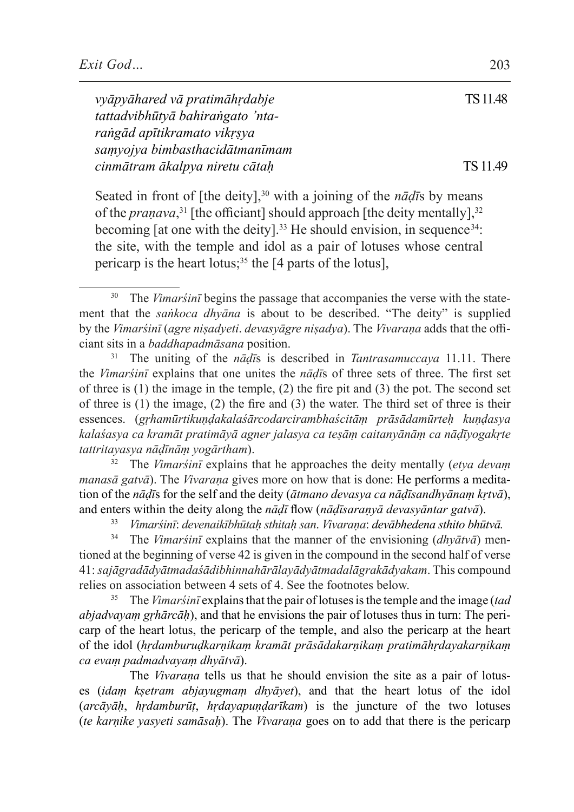*vyāpyāhared vā pratimāhṛdabje* TS11.48 *tattadvibhūtyā bahiraṅgato 'ntaraṅgād apītikramato vikṛṣya saṃyojya bimbasthacidātmanīmam cinmātram ākalpya niretu cātah* TS 11.49

Seated in front of [the deity],<sup>30</sup> with a joining of the *nāḍīs* by means of the *praṇava*,<sup>31</sup> [the officiant] should approach [the deity mentally],<sup>32</sup> becoming [at one with the deity].<sup>33</sup> He should envision, in sequence<sup>34</sup>: the site, with the temple and idol as a pair of lotuses whose central pericarp is the heart lotus;<sup>35</sup> the  $[4$  parts of the lotus],

<sup>31</sup> The uniting of the *nāḍī*s is described in *Tantrasamuccaya* 11.11. There the *Vimarśinī* explains that one unites the *nāḍī*s of three sets of three. The first set of three is (1) the image in the temple, (2) the fire pit and (3) the pot. The second set of three is (1) the image, (2) the fire and (3) the water. The third set of three is their essences. (*gṛhamūrtikuṇḍakalaśārcodarcirambhaścitāṃ prāsādamūrteḥ kuṇḍasya kalaśasya ca kramāt pratimāyā agner jalasya ca teṣāṃ caitanyānāṃ ca nāḍīyogakṛte tattritayasya nāḍīnāṃ yogārtham*).

<sup>32</sup> The *Vimarśinī* explains that he approaches the deity mentally (*etya devaṃ manasā gatvā*). The *Vivarana* gives more on how that is done: He performs a meditation of the *nāḍī*s for the self and the deity (*ātmano devasya ca nāḍīsandhyānaṃ kṛtvā*), and enters within the deity along the *nāḍī* flow (*nāḍīsaraṇyā devasyāntar gatvā*).

<sup>33</sup> *Vimarśinī*: *devenaikībhūtaḥ sthitaḥ san*. *Vivaraṇa*: *devābhedena sthito bhūtvā.*

<sup>34</sup> The *Vimarśinī* explains that the manner of the envisioning (*dhyātvā*) mentioned at the beginning of verse 42 is given in the compound in the second half of verse 41: *sajāgradādyātmadaśādibhinnahārālayādyātmadalāgrakādyakam*. This compound relies on association between 4 sets of 4. See the footnotes below.

<sup>35</sup> The *Vimarśinī* explains that the pair of lotuses isthe temple and the image (*tad abjadvayaṃ gṛhārcāḥ*), and that he envisions the pair of lotuses thus in turn: The pericarp of the heart lotus, the pericarp of the temple, and also the pericarp at the heart of the idol (*hṛdamburuḍkarṇikaṃ kramāt prāsādakarṇikaṃ pratimāhṛdayakarṇikaṃ ca evaṃ padmadvayaṃ dhyātvā*).

The *Vivaraṇa* tells us that he should envision the site as a pair of lotuses (*idaṃ kṣetram abjayugmaṃ dhyāyet*), and that the heart lotus of the idol (*arcāyāḥ*, *hṛdamburūṭ*, *hṛdayapuṇḍarīkam*) is the juncture of the two lotuses (*te karṇike yasyeti samāsaḥ*). The *Vivaraṇa* goes on to add that there is the pericarp

<sup>&</sup>lt;sup>30</sup> The *Vimar'sinī* begins the passage that accompanies the verse with the statement that the *saṅkoca dhyāna* is about to be described. "The deity" is supplied by the *Vimarśinī* (*agre niṣadyeti*. *devasyāgre niṣadya*). The *Vivaraṇa* adds that the officiant sits in a *baddhapadmāsana* position.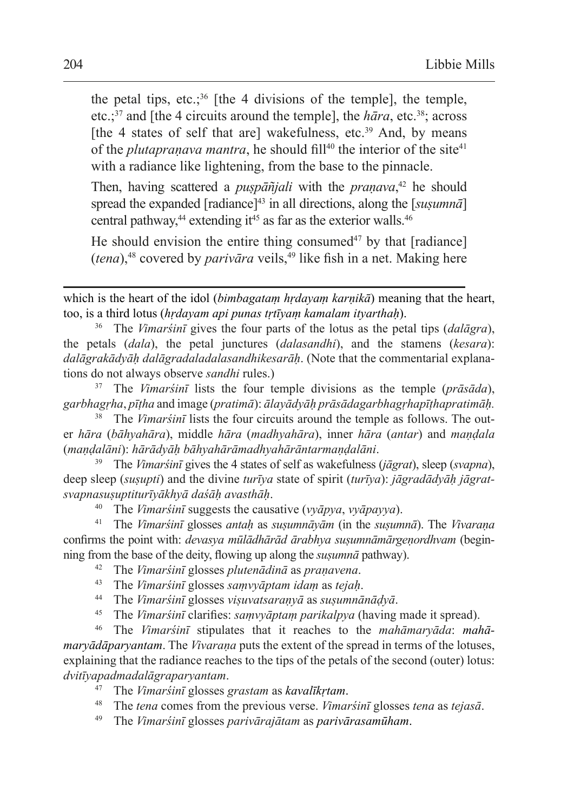the petal tips, etc.;<sup>36</sup> [the 4 divisions of the temple], the temple, etc.;<sup>37</sup> and [the 4 circuits around the temple], the  $h\bar{a}ra$ , etc.<sup>38</sup>; across [the 4 states of self that are] wakefulness, etc.<sup>39</sup> And, by means of the *plutapranava mantra*, he should fill<sup>40</sup> the interior of the site<sup>41</sup> with a radiance like lightening, from the base to the pinnacle.

Then, having scattered a *puṣpāñjali* with the *praṇava*, 42 he should spread the expanded [radiance]<sup>43</sup> in all directions, along the [*susumna*] central pathway, $44$  extending it $45$  as far as the exterior walls. $46$ 

He should envision the entire thing consumed<sup> $47$ </sup> by that [radiance] (*tena*),48 covered by *parivāra* veils,<sup>49</sup> like fish in a net. Making here

<sup>36</sup> The *Vimarśinī* gives the four parts of the lotus as the petal tips (*dalāgra*), the petals (*dala*), the petal junctures (*dalasandhi*), and the stamens (*kesara*): *dalāgrakādyāḥ dalāgradaladalasandhikesarāḥ*. (Note that the commentarial explanations do not always observe *sandhi* rules.)

<sup>37</sup> The *Vimarśinī* lists the four temple divisions as the temple (*prāsāda*), *garbhagṛha*, *pīṭha* and image (*pratimā*): *ālayādyāḥ prāsādagarbhagṛhapīṭhapratimāḥ.*

<sup>38</sup> The *Vimarśinī* lists the four circuits around the temple as follows. The outer *hāra* (*bāhyahāra*), middle *hāra* (*madhyahāra*), inner *hāra* (*antar*) and *maṇḍala* (*maṇḍalāni*): *hārādyāḥ bāhyahārāmadhyahārāntarmaṇḍalāni*.

<sup>39</sup> The *Vimarśinī* gives the 4 states of self as wakefulness (*jāgrat*), sleep (*svapna*), deep sleep (*suṣupti*) and the divine *turīya* state of spirit (*turīya*): *jāgradādyāḥ jāgratsvapnasuṣuptiturīyākhyā daśāḥ avasthāḥ*.

<sup>40</sup> The *Vimarśinī* suggests the causative (*vyāpya*, *vyāpayya*).

<sup>41</sup> The *Vimarśinī* glosses *antaḥ* as *suṣumnāyām* (in the *suṣumnā*). The *Vivaraṇa* confirms the point with: *devasya mūlādhārād ārabhya suṣumnāmārgeṇordhvam* (beginning from the base of the deity, flowing up along the  $susumn\bar{a}$  pathway).

<sup>42</sup> The *Vimarśinī* glosses *plutenādinā* as *praṇavena*.

- <sup>43</sup> The *Vimarśinī* glosses *saṃvyāptam idaṃ* as *tejaḥ*.
- <sup>44</sup> The *Vimarśinī* glosses *viṣuvatsaraṇyā* as *suṣumnānāḍyā*.
- <sup>45</sup> The *Vimarśinī* clarifies: *saṃvyāptaṃ parikalpya* (having made it spread).

<sup>46</sup> The *Vimarśinī* stipulates that it reaches to the *mahāmaryāda*: *mahāmaryādāparyantam*. The *Vivaraṇa* puts the extent of the spread in terms of the lotuses, explaining that the radiance reaches to the tips of the petals of the second (outer) lotus: *dvitīyapadmadalāgraparyantam*.

- <sup>47</sup> The *Vimarśinī* glosses *grastam* as *kavalīkṛtam*.
- <sup>48</sup> The *tena* comes from the previous verse. *Vimarśinī* glosses *tena* as *tejasā*.
- <sup>49</sup> The *Vimarśinī* glosses *parivārajātam* as *parivārasamūham*.

which is the heart of the idol (*bimbagataṃ hṛdayaṃ karṇikā*) meaning that the heart, too, is a third lotus (*hṛdayam api punas tṛtīyaṃ kamalam ityarthaḥ*).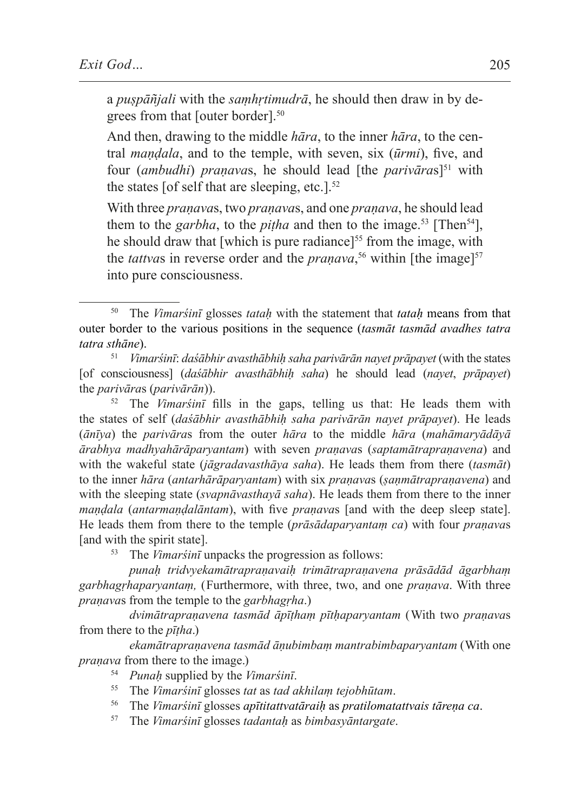a *puṣpāñjali* with the *saṃhṛtimudrā*, he should then draw in by degrees from that [outer border].50

And then, drawing to the middle *hāra*, to the inner *hāra*, to the central *maṇḍala*, and to the temple, with seven, six (*ūrmi*), five, and four (*ambudhi*) *praṇava*s, he should lead [the *parivāra*s]51 with the states [of self that are sleeping, etc.]. $52$ 

With three *praṇava*s, two *praṇava*s, and one *praṇava*, he should lead them to the *garbha*, to the *pitha* and then to the image.<sup>53</sup> [Then<sup>54</sup>], he should draw that [which is pure radiance]<sup>55</sup> from the image, with the *tattvas* in reverse order and the *pranava*,<sup>56</sup> within [the image]<sup>57</sup> into pure consciousness.

<sup>51</sup> *Vimarśinī*: *daśābhir avasthābhiḥ saha parivārān nayet prāpayet* (with the states [of consciousness] (*daśābhir avasthābhiḥ saha*) he should lead (*nayet*, *prāpayet*) the *parivāra*s (*parivārān*)).

<sup>52</sup> The *Vimarśinī* fills in the gaps, telling us that: He leads them with the states of self (*daśābhir avasthābhiḥ saha parivārān nayet prāpayet*). He leads (*ānīya*) the *parivāra*s from the outer *hāra* to the middle *hāra* (*mahāmaryādāyā ārabhya madhyahārāparyantam*) with seven *praṇava*s (*saptamātrapraṇavena*) and with the wakeful state (*jāgradavasthāya saha*). He leads them from there (*tasmāt*) to the inner *hāra* (*antarhārāparyantam*) with six *praṇava*s (*ṣaṇmātrapraṇavena*) and with the sleeping state (*svapnāvasthayā saha*). He leads them from there to the inner *maṇḍala* (*antarmaṇḍalāntam*), with five *praṇava*s [and with the deep sleep state]. He leads them from there to the temple (*prāsādaparyantaṃ ca*) with four *praṇava*s [and with the spirit state].<br> $\frac{53}{2}$  The *Vimarsini* u

The *Vimarśinī* unpacks the progression as follows:

*punaḥ tridvyekamātrapraṇavaiḥ trimātrapraṇavena prāsādād āgarbhaṃ garbhagṛhaparyantaṃ,* (Furthermore, with three, two, and one *praṇava*. With three *praṇava*s from the temple to the *garbhagṛha*.)

*dvimātrapraṇavena tasmād āpīṭhaṃ pītḥaparyantam* (With two *praṇava*s from there to the *pīṭha*.)

*ekamātrapraṇavena tasmād āṇubimbaṃ mantrabimbaparyantam* (With one *praṇava* from there to the image.)

<sup>54</sup> *Punaḥ* supplied by the *Vimarśinī*.

- <sup>55</sup> The *Vimarśinī* glosses *tat* as *tad akhilaṃ tejobhūtam*.
- <sup>56</sup> The *Vimarśinī* glosses *apītitattvatāraiḥ* as *pratilomatattvais tāreṇa ca*.
- <sup>57</sup> The *Vimarśinī* glosses *tadantaḥ* as *bimbasyāntargate*.

<sup>50</sup> The *Vimarśinī* glosses *tataḥ* with the statement that *tataḥ* means from that outer border to the various positions in the sequence (*tasmāt tasmād avadhes tatra tatra sthāne*).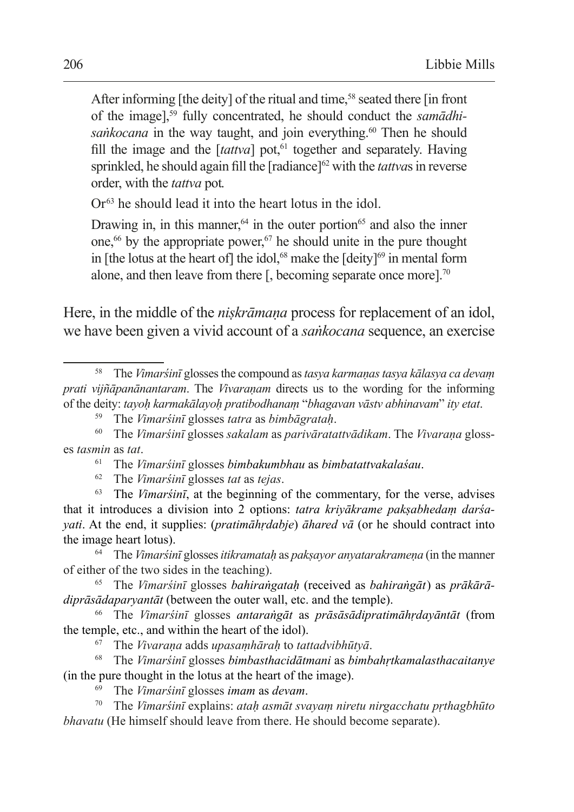After informing [the deity] of the ritual and time,<sup>58</sup> seated there [in front] of the image],<sup>59</sup> fully concentrated, he should conduct the *samādhisankocana* in the way taught, and join everything.<sup>60</sup> Then he should fill the image and the  $[tattva]$  pot,<sup>61</sup> together and separately. Having sprinkled, he should again fill the [radiance]<sup>62</sup> with the *tattvas* in reverse order, with the *tattva* pot.

 $Or<sup>63</sup>$  he should lead it into the heart lotus in the idol.

Drawing in, in this manner, $64$  in the outer portion<sup>65</sup> and also the inner one, $66$  by the appropriate power, $67$  he should unite in the pure thought in [the lotus at the heart of] the idol,<sup>68</sup> make the  $[deity]$ <sup>69</sup> in mental form alone, and then leave from there  $\lceil$ , becoming separate once more].<sup>70</sup>

Here, in the middle of the *niskrāmana* process for replacement of an idol, we have been given a vivid account of a *saṅkocana* sequence, an exercise

- <sup>61</sup> The *Vimarśinī* glosses *bimbakumbhau* as *bimbatattvakalaśau*.
- <sup>62</sup> The *Vimarśinī* glosses *tat* as *tejas*.

<sup>63</sup> The *Vimarśinī*, at the beginning of the commentary, for the verse, advises that it introduces a division into 2 options: *tatra kriyākrame pakṣabhedaṃ darśayati*. At the end, it supplies: (*pratimāhṛdabje*) *āhared vā* (or he should contract into the image heart lotus).

<sup>64</sup> The *Vimarśinī* glosses *itikramataḥ* as *pakṣayor anyatarakrameṇa* (in the manner of either of the two sides in the teaching).

<sup>65</sup> The *Vimarśinī* glosses *bahiraṅgataḥ* (received as *bahiraṅgāt*) as *prākārādiprāsādaparyantāt* (between the outer wall, etc. and the temple).

<sup>66</sup> The *Vimarśinī* glosses *antaraṅgāt* as *prāsāsādipratimāhṛdayāntāt* (from the temple, etc., and within the heart of the idol).

<sup>67</sup> The *Vivaraṇa* adds *upasaṃhāraḥ* to *tattadvibhūtyā*.

<sup>68</sup> The *Vimarśinī* glosses *bimbasthacidātmani* as *bimbahṛtkamalasthacaitanye* (in the pure thought in the lotus at the heart of the image).

<sup>69</sup> The *Vimarśinī* glosses *imam* as *devam*.

<sup>70</sup> The *Vimarśinī* explains: *ataḥ asmāt svayaṃ niretu nirgacchatu pṛthagbhūto bhavatu* (He himself should leave from there. He should become separate).

<sup>58</sup> The *Vimarśinī* glosses the compound as*tasya karmaṇas tasya kālasya ca devaṃ prati vijñāpanānantaram*. The *Vivaranam* directs us to the wording for the informing of the deity: *tayoḥ karmakālayoḥ pratibodhanaṃ* "*bhagavan vāstv abhinavam*" *ity etat*.

<sup>59</sup> The *Vimarśinī* glosses *tatra* as *bimbāgrataḥ*.

<sup>60</sup> The *Vimarśinī* glosses *sakalam* as *parivāratattvādikam*. The *Vivaraṇa* glosses *tasmin* as *tat*.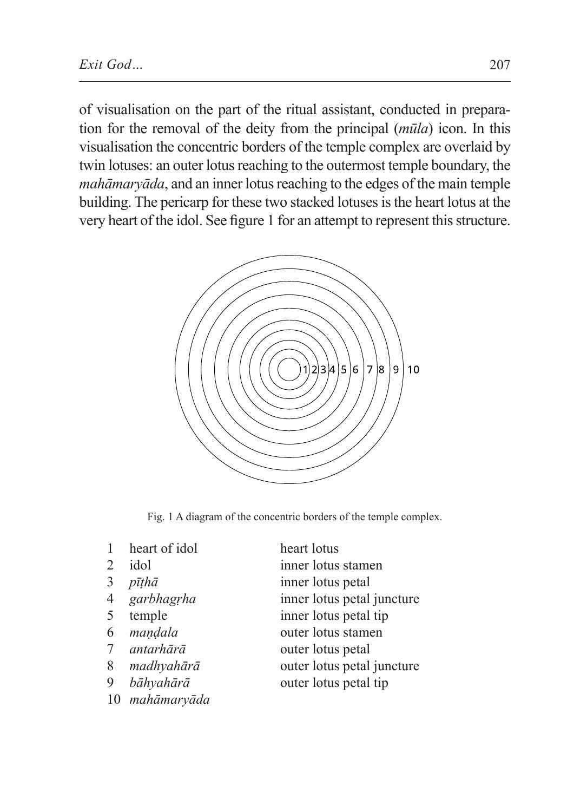of visualisation on the part of the ritual assistant, conducted in preparation for the removal of the deity from the principal (*mūla*) icon. In this visualisation the concentric borders of the temple complex are overlaid by twin lotuses: an outer lotus reaching to the outermost temple boundary, the *mahāmaryāda*, and an inner lotus reaching to the edges of the main temple building. The pericarp for these two stacked lotuses isthe heart lotus at the very heart of the idol. See figure 1 for an attempt to represent this structure.



Fig. 1 A diagram of the concentric borders of the temple complex.

- 1 heart of idol heart lotus
- 
- 
- 
- 
- 
- 
- 
- 9 *bāhyahārā* outer lotus petal tip
- 10 *mahāmaryāda*
- 2 idol inner lotus stamen
- 3 *pīṭhā* inner lotus petal
- 4 *garbhagṛha* inner lotus petal juncture
- 5 temple inner lotus petal tip
- 6 *maṇḍala* outer lotus stamen
- 7 *antarhārā* outer lotus petal
- 8 *madhyahārā* outer lotus petal juncture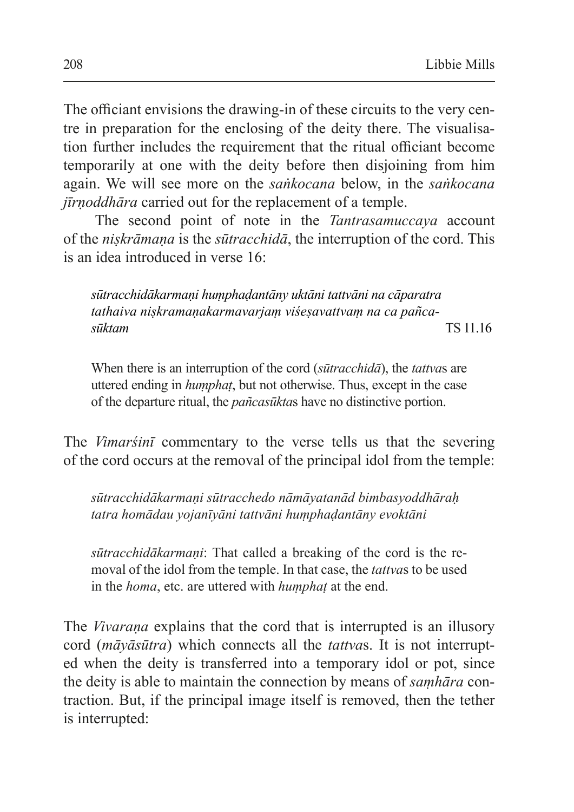The officiant envisions the drawing-in of these circuits to the very centre in preparation for the enclosing of the deity there. The visualisation further includes the requirement that the ritual officiant become temporarily at one with the deity before then disjoining from him again. We will see more on the *saṅkocana* below, in the *saṅkocana jīrṇoddhāra* carried out for the replacement of a temple.

The second point of note in the *Tantrasamuccaya* account of the *niṣkrāmaṇa* is the *sūtracchidā*, the interruption of the cord. This is an idea introduced in verse 16:

*sūtracchidākarmaṇi huṃphaḍantāny uktāni tattvāni na cāparatra tathaiva niṣkramaṇakarmavarjaṃ viśeṣavattvaṃ na ca pañcasūktam* TS 11.16

When there is an interruption of the cord (*sūtracchidā*), the *tattva*s are uttered ending in *huṃphaṭ*, but not otherwise. Thus, except in the case of the departure ritual, the *pañcasūkta*s have no distinctive portion.

The *Vimarśinī* commentary to the verse tells us that the severing of the cord occurs at the removal of the principal idol from the temple:

*sūtracchidākarmaṇi sūtracchedo nāmāyatanād bimbasyoddhāraḥ tatra homādau yojanīyāni tattvāni huṃphaḍantāny evoktāni*

*sūtracchidākarmaṇi*: That called a breaking of the cord is the removal of the idol from the temple. In that case, the *tattva*s to be used in the *homa*, etc. are uttered with *huṃphaṭ* at the end.

The *Vivarana* explains that the cord that is interrupted is an illusory cord (*māyāsūtra*) which connects all the *tattva*s. It is not interrupted when the deity is transferred into a temporary idol or pot, since the deity is able to maintain the connection by means of *saṃhāra* contraction. But, if the principal image itself is removed, then the tether is interrupted: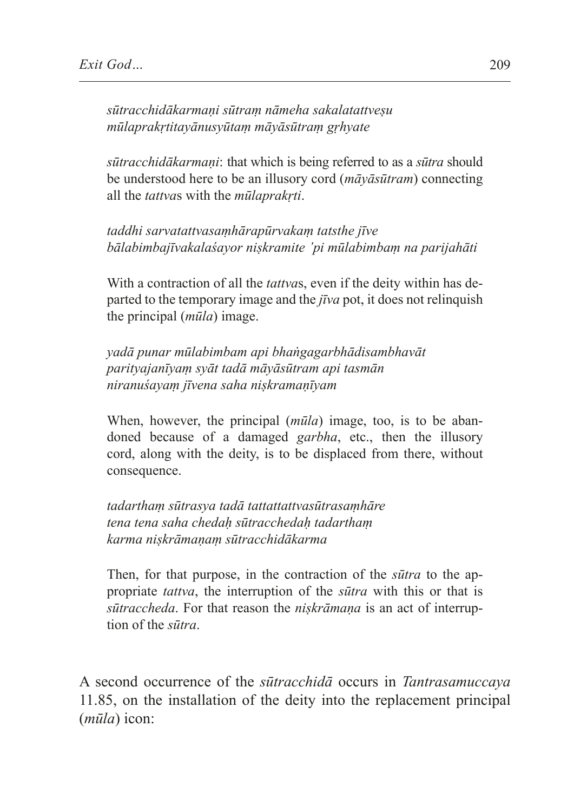*sūtracchidākarmaṇi sūtraṃ nāmeha sakalatattveṣu mūlaprakṛtitayānusyūtaṃ māyāsūtraṃ gṛhyate*

*sūtracchidākarmaṇi*: that which is being referred to as a *sūtra* should be understood here to be an illusory cord (*māyāsūtram*) connecting all the *tattva*s with the *mūlaprakṛti*.

*taddhi sarvatattvasaṃhārapūrvakaṃ tatsthe jīve bālabimbajīvakalaśayor niṣkramite 'pi mūlabimbaṃ na parijahāti*

With a contraction of all the *tattva*s, even if the deity within has departed to the temporary image and the *jīva* pot, it does not relinquish the principal (*mūla*) image.

*yadā punar mūlabimbam api bhaṅgagarbhādisambhavāt parityajanīyaṃ syāt tadā māyāsūtram api tasmān niranuśayaṃ jīvena saha niṣkramaṇīyam*

When, however, the principal (*mūla*) image, too, is to be abandoned because of a damaged *garbha*, etc., then the illusory cord, along with the deity, is to be displaced from there, without consequence.

*tadarthaṃ sūtrasya tadā tattattattvasūtrasaṃhāre tena tena saha chedaḥ sūtracchedaḥ tadarthaṃ karma niṣkrāmaṇaṃ sūtracchidākarma*

Then, for that purpose, in the contraction of the *sūtra* to the appropriate *tattva*, the interruption of the *sūtra* with this or that is *sūtraccheda*. For that reason the *niṣkrāmaṇa* is an act of interruption of the *sūtra*.

A second occurrence of the *sūtracchidā* occurs in *Tantrasamuccaya* 11.85, on the installation of the deity into the replacement principal (*mūla*) icon: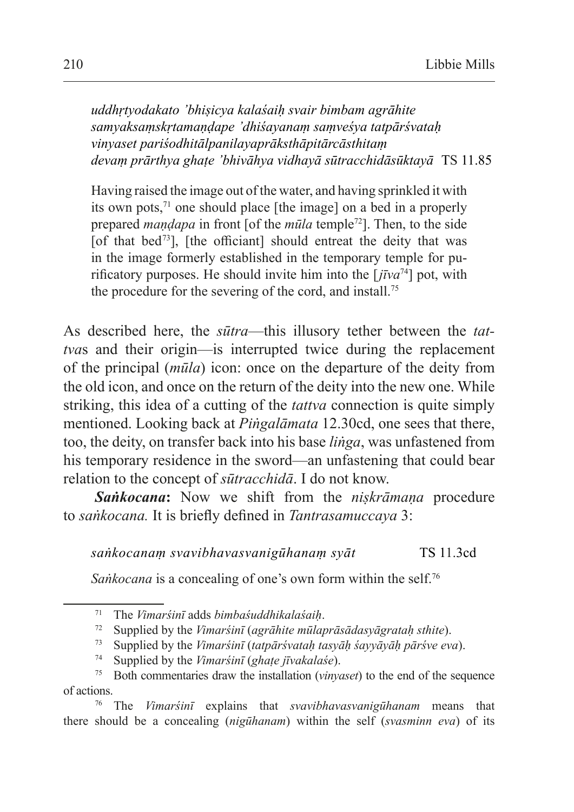*uddhṛtyodakato 'bhiṣicya kalaśaiḥ svair bimbam agrāhite samyaksaṃskṛtamaṇḍape 'dhiśayanaṃ saṃveśya tatpārśvataḥ vinyaset pariśodhitālpanilayaprāksthāpitārcāsthitaṃ devaṃ prārthya ghaṭe 'bhivāhya vidhayā sūtracchidāsūktayā* TS 11.85

Having raised the image out of the water, and having sprinkled it with its own pots, $71$  one should place [the image] on a bed in a properly prepared *maṇḍapa* in front [of the *mūla* temple72]. Then, to the side [of that bed<sup>73</sup>], [the officiant] should entreat the deity that was in the image formerly established in the temporary temple for purificatory purposes. He should invite him into the [*jīva*<sup>74</sup>] pot, with the procedure for the severing of the cord, and install.<sup>75</sup>

As described here, the *sūtra*—this illusory tether between the *tattva*s and their origin—is interrupted twice during the replacement of the principal (*mūla*) icon: once on the departure of the deity from the old icon, and once on the return of the deity into the new one. While striking, this idea of a cutting of the *tattva* connection is quite simply mentioned. Looking back at *Piṅgalāmata* 12.30cd, one sees that there, too, the deity, on transfer back into his base *liṅga*, was unfastened from his temporary residence in the sword—an unfastening that could bear relation to the concept of *sūtracchidā*. I do not know.

*Saṅkocana***:** Now we shift from the *niṣkrāmaṇa* procedure to *saṅkocana.* It is briefly defined in *Tantrasamuccaya* 3:

*saṅkocanaṃ svavibhavasvanigūhanaṃ syāt* TS 11.3cd

*Sankocana* is a concealing of one's own form within the self.<sup>76</sup>

<sup>71</sup> The *Vimarśinī* adds *bimbaśuddhikalaśaiḥ*.

<sup>72</sup> Supplied by the *Vimarśinī* (*agrāhite mūlaprāsādasyāgrataḥ sthite*).

<sup>73</sup> Supplied by the *Vimarśinī* (*tatpārśvataḥ tasyāḥ śayyāyāḥ pārśve eva*).

<sup>74</sup> Supplied by the *Vimarśinī* (*ghaṭe jīvakalaśe*).

<sup>75</sup> Both commentaries draw the installation (*vinyaset*) to the end of the sequence of actions.

<sup>76</sup> The *Vimarśinī* explains that *svavibhavasvanigūhanam* means that there should be a concealing (*nigūhanam*) within the self (*svasminn eva*) of its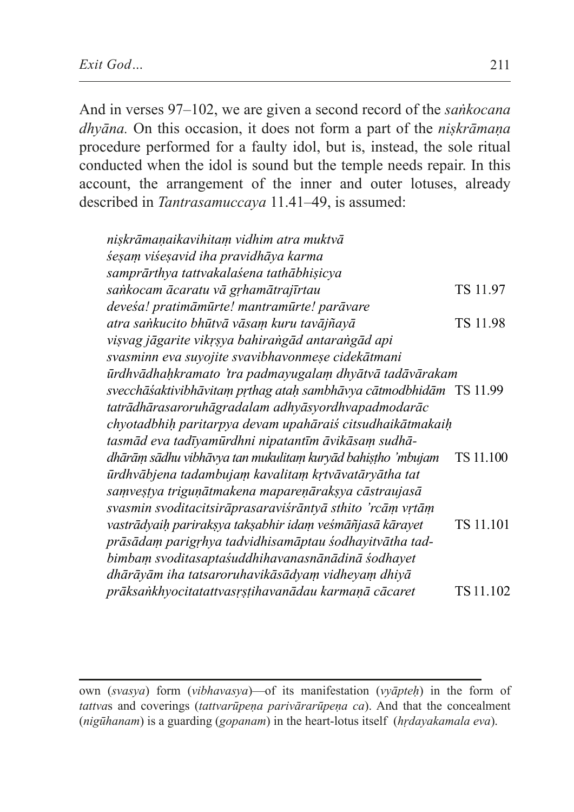And in verses 97–102, we are given a second record of the *saṅkocana dhyāna.* On this occasion, it does not form a part of the *niṣkrāmaṇa* procedure performed for a faulty idol, but is, instead, the sole ritual conducted when the idol is sound but the temple needs repair. In this account, the arrangement of the inner and outer lotuses, already described in *Tantrasamuccaya* 11.41–49, is assumed:

| nişkrāmaņaikavihitam vidhim atra muktvā                            |           |
|--------------------------------------------------------------------|-----------|
| śeşam viśeşavid iha pravidhāya karma                               |           |
| samprārthya tattvakalaśena tathābhișicya                           |           |
| sankocam ācaratu vā grhamātrajīrtau                                | TS 11.97  |
| devesa! pratimāmūrte! mantramūrte! parāvare                        |           |
| atra sankucito bhūtvā vāsam kuru tavājñayā                         | TS 11.98  |
| vişvag jāgarite vikrşya bahirangād antarangād api                  |           |
| svasminn eva suyojite svavibhavonmeșe cidekātmani                  |           |
| ūrdhvādhahkramato 'tra padmayugalam dhyātvā tadāvārakam            |           |
| svecchāśaktivibhāvitam prthag atah sambhāvya cātmodbhidām TS 11.99 |           |
| tatrādhārasaroruhāgradalam adhyāsyordhvapadmodarāc                 |           |
| chyotadbhih paritarpya devam upahāraiś citsudhaikātmakaih          |           |
| tasmād eva tadīyamūrdhni nipatantīm āvikāsam sudhā-                |           |
| dhārām sādhu vibhāvya tan mukulitam kuryād bahistho 'mbujam        | TS 11.100 |
| ūrdhvābjena tadambujam kavalitam krtvāvatāryātha tat               |           |
| samvestya triguņātmakena mapareņāraksya cāstraujasā                |           |
| svasmin svoditacitsirāprasaraviśrāntyā sthito 'rcām vrtām          |           |
| vastrādyaih pariraksya taksabhir idam veśmāñjasā kārayet           | TS 11.101 |
| prāsādam parigrhya tadvidhisamāptau sodhayitvātha tad-             |           |
| bimbam svoditasaptasuddhihavanasnānādinā sodhayet                  |           |
| dhārāyām iha tatsaroruhavikāsādyam vidheyam dhiyā                  |           |
| prāksankhyocitatattvasrstihavanādau karmaņā cācaret                | TS 11.102 |

own (*svasya*) form (*vibhavasya*)—of its manifestation (*vyāpteḥ*) in the form of *tattvas* and coverings *(tattvarūpena parivārarūpena ca)*. And that the concealment (*nigūhanam*) is a guarding (*gopanam*) in the heart-lotus itself (*hṛdayakamala eva*).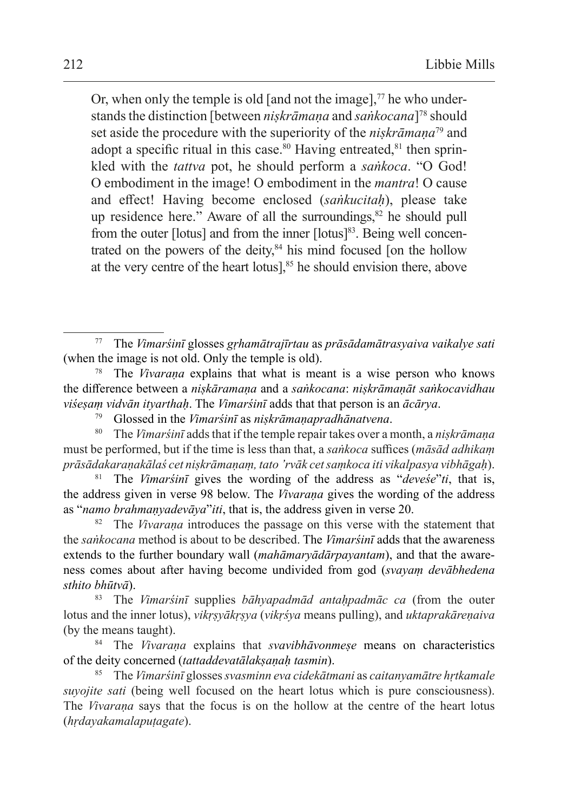Or, when only the temple is old [and not the image], $\frac{7}{7}$  he who understands the distinction [between *niṣkrāmaṇa* and *saṅkocana*]78 should set aside the procedure with the superiority of the *niṣkrāmaṇa*79 and adopt a specific ritual in this case.<sup>80</sup> Having entreated, $81$  then sprinkled with the *tattva* pot, he should perform a *saṅkoca*. "O God! O embodiment in the image! O embodiment in the *mantra*! O cause and effect! Having become enclosed (*saṅkucitaḥ*), please take up residence here." Aware of all the surroundings, $82$  he should pull from the outer [lotus] and from the inner [lotus]<sup>83</sup>. Being well concentrated on the powers of the deity, $84$  his mind focused [on the hollow at the very centre of the heart lotus],<sup>85</sup> he should envision there, above

<sup>79</sup> Glossed in the *Vimarśinī* as *niṣkrāmaṇapradhānatvena*.

<sup>80</sup> The *Vimarśinī* adds that if the temple repair takes over a month, a *niṣkrāmaṇa* must be performed, but if the time is less than that, a *saṅkoca* suffices (*māsād adhikaṃ prāsādakaraṇakālaś cet niṣkrāmaṇaṃ, tato 'rvāk cet saṃkoca iti vikalpasya vibhāgaḥ*).

<sup>81</sup> The *Vimarśinī* gives the wording of the address as "*deveśe*"*ti*, that is, the address given in verse 98 below. The *Vivaraṇa* gives the wording of the address as "*namo brahmaṇyadevāya*"*iti*, that is, the address given in verse 20.

<sup>82</sup> The *Vivaraṇa* introduces the passage on this verse with the statement that the *saṅkocana* method is about to be described. The *Vimarśinī* adds that the awareness extends to the further boundary wall (*mahāmaryādārpayantam*), and that the awareness comes about after having become undivided from god (*svayaṃ devābhedena sthito bhūtvā*).

<sup>83</sup> The *Vimarśinī* supplies *bāhyapadmād antaḥpadmāc ca* (from the outer lotus and the inner lotus), *vikṛṣyākṛṣya* (*vikṛśya* means pulling), and *uktaprakāreṇaiva* (by the means taught).

<sup>84</sup> The *Vivaraṇa* explains that *svavibhāvonmeṣe* means on characteristics of the deity concerned (*tattaddevatālakṣaṇaḥ tasmin*).

<sup>85</sup> The *Vimarśinī* glosses*svasminn eva cidekātmani* as *caitanyamātre hṛtkamale suyojite sati* (being well focused on the heart lotus which is pure consciousness). The *Vivaraṇa* says that the focus is on the hollow at the centre of the heart lotus (*hṛdayakamalapuṭagate*).

<sup>77</sup> The *Vimarśinī* glosses *gṛhamātrajīrtau* as *prāsādamātrasyaiva vaikalye sati* (when the image is not old. Only the temple is old).

<sup>78</sup> The *Vivaraṇa* explains that what is meant is a wise person who knows the difference between a *niṣkāramaṇa* and a *saṅkocana*: *niṣkrāmaṇāt saṅkocavidhau viśeṣaṃ vidvān ityarthaḥ*. The *Vimarśinī* adds that that person is an *ācārya*.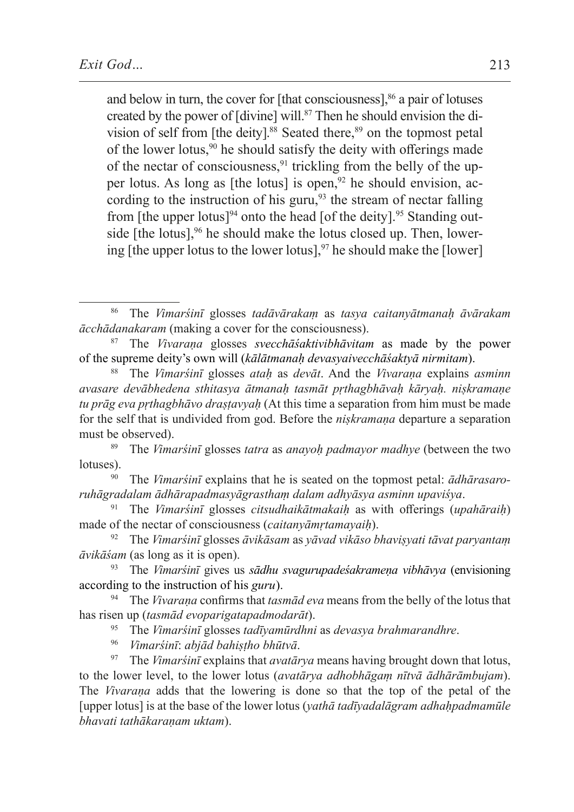and below in turn, the cover for  $[$ that consciousness $]$ ,  $%$  a pair of lotuses created by the power of [divine] will.<sup>87</sup> Then he should envision the division of self from [the deity].<sup>88</sup> Seated there,<sup>89</sup> on the topmost petal of the lower lotus,  $90$  he should satisfy the deity with offerings made of the nectar of consciousness,  $91$  trickling from the belly of the upper lotus. As long as [the lotus] is open,  $92$  he should envision, according to the instruction of his guru, $93$  the stream of nectar falling from [the upper lotus]<sup>94</sup> onto the head [of the deity].<sup>95</sup> Standing outside  $[the lotus]$ ,<sup>96</sup> he should make the lotus closed up. Then, lowering [the upper lotus to the lower lotus],  $97$  he should make the [lower]

- <sup>95</sup> The *Vimarśinī* glosses *tadīyamūrdhni* as *devasya brahmarandhre*.
- <sup>96</sup> *Vimarśinī*: *abjād bahiṣṭho bhūtvā*.

<sup>97</sup> The *Vimarśinī* explains that *avatārya* means having brought down that lotus, to the lower level, to the lower lotus (*avatārya adhobhāgaṃ nītvā ādhārāmbujam*). The *Vivaraṇa* adds that the lowering is done so that the top of the petal of the [upper lotus] is at the base of the lower lotus (*yathā tadīyadalāgram adhaḥpadmamūle bhavati tathākaraṇam uktam*).

<sup>86</sup> The *Vimarśinī* glosses *tadāvārakaṃ* as *tasya caitanyātmanaḥ āvārakam ācchādanakaram* (making a cover for the consciousness).

<sup>87</sup> The *Vivaraṇa* glosses *svecchāśaktivibhāvitam* as made by the power of the supreme deity's own will (*kālātmanaḥ devasyaivecchāśaktyā nirmitam*).

<sup>88</sup> The *Vimarśinī* glosses *ataḥ* as *devāt*. And the *Vivaraṇa* explains *asminn avasare devābhedena sthitasya ātmanaḥ tasmāt pṛthagbhāvaḥ kāryaḥ. niṣkramaṇe tu prāg eva pṛthagbhāvo draṣṭavyaḥ* (At this time a separation from him must be made for the self that is undivided from god. Before the *niṣkramaṇa* departure a separation must be observed).

<sup>89</sup> The *Vimarśinī* glosses *tatra* as *anayoḥ padmayor madhye* (between the two lotuses).

<sup>90</sup> The *Vimarśinī* explains that he is seated on the topmost petal: *ādhārasaroruhāgradalam ādhārapadmasyāgrasthaṃ dalam adhyāsya asminn upaviśya*.

<sup>91</sup> The *Vimarśinī* glosses *citsudhaikātmakaiḥ* as with offerings (*upahāraiḥ*) made of the nectar of consciousness (*caitanyāmṛtamayaiḥ*).

<sup>92</sup> The *Vimarśinī* glosses *āvikāsam* as *yāvad vikāso bhaviṣyati tāvat paryantaṃ āvikāśam* (as long as it is open).

<sup>93</sup> The *Vimarśinī* gives us *sādhu svagurupadeśakrameṇa vibhāvya* (envisioning according to the instruction of his *guru*).

<sup>94</sup> The *Vivaraṇa* confirms that *tasmād eva* means from the belly of the lotus that has risen up (*tasmād evoparigatapadmodarāt*).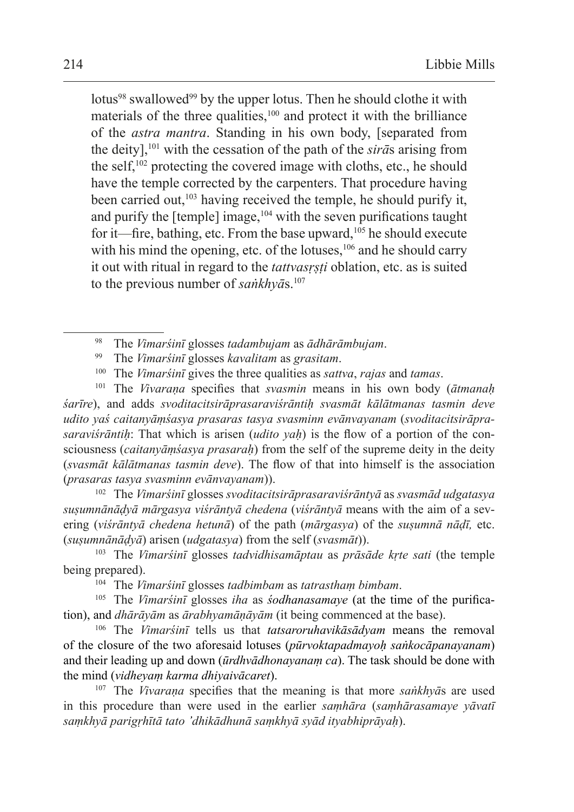lotus<sup>98</sup> swallowed<sup>99</sup> by the upper lotus. Then he should clothe it with materials of the three qualities, $100$  and protect it with the brilliance of the *astra mantra*. Standing in his own body, [separated from the deity],101 with the cessation of the path of the *sirā*s arising from the self, $102$  protecting the covered image with cloths, etc., he should have the temple corrected by the carpenters. That procedure having been carried out, $103$  having received the temple, he should purify it, and purify the [temple] image,104 with the seven purifications taught for it—fire, bathing, etc. From the base upward,<sup>105</sup> he should execute with his mind the opening, etc. of the lotuses, $106$  and he should carry it out with ritual in regard to the *tattvasṛṣṭi* oblation, etc. as is suited to the previous number of *saṅkhyā*s.<sup>107</sup>

<sup>101</sup> The *Vivaraṇa* specifies that *svasmin* means in his own body (*ātmanaḥ śarīre*), and adds *svoditacitsirāprasaraviśrāntiḥ svasmāt kālātmanas tasmin deve udito yaś caitanyāṃśasya prasaras tasya svasminn evānvayanam* (*svoditacitsirāprasaraviśrāntiḥ*: That which is arisen (*udito yaḥ*) is the flow of a portion of the consciousness (*caitanyāṃśasya prasaraḥ*) from the self of the supreme deity in the deity (*svasmāt kālātmanas tasmin deve*). The flow of that into himself is the association (*prasaras tasya svasminn evānvayanam*)).

<sup>102</sup> The *Vimarśinī* glosses *svoditacitsirāprasaraviśrāntyā* as *svasmād udgatasya suṣumnānāḍyā mārgasya viśrāntyā chedena* (*viśrāntyā* means with the aim of a severing (*viśrāntyā chedena hetunā*) of the path (*mārgasya*) of the *suṣumnā nāḍī,* etc. (*suṣumnānāḍyā*) arisen (*udgatasya*) from the self (*svasmāt*)).

<sup>103</sup> The *Vimarśinī* glosses *tadvidhisamāptau* as *prāsāde kṛte sati* (the temple being prepared).

<sup>104</sup> The *Vimarśinī* glosses *tadbimbam* as *tatrasthaṃ bimbam*.

<sup>105</sup> The *Vimarśinī* glosses *iha* as *śodhanasamaye* (at the time of the purification), and *dhārāyām* as *ārabhyamāṇāyām* (it being commenced at the base).

<sup>106</sup> The *Vimarśinī* tells us that *tatsaroruhavikāsādyam* means the removal of the closure of the two aforesaid lotuses (*pūrvoktapadmayoḥ saṅkocāpanayanam*) and their leading up and down (*ūrdhvādhonayanaṃ ca*). The task should be done with the mind (*vidheyaṃ karma dhiyaivācaret*).

<sup>107</sup> The *Vivaraṇa* specifies that the meaning is that more *saṅkhyā*s are used in this procedure than were used in the earlier *saṃhāra* (*saṃhārasamaye yāvatī saṃkhyā parigṛhītā tato 'dhikādhunā saṃkhyā syād ityabhiprāyaḥ*).

<sup>98</sup> The *Vimarśinī* glosses *tadambujam* as *ādhārāmbujam*.

<sup>99</sup> The *Vimarśinī* glosses *kavalitam* as *grasitam*.

<sup>100</sup> The *Vimarśinī* gives the three qualities as *sattva*, *rajas* and *tamas*.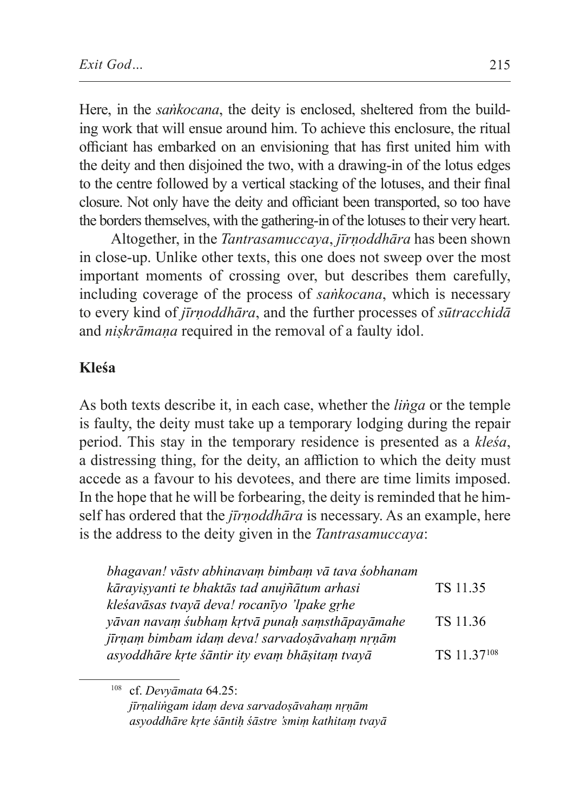Here, in the *saṅkocana*, the deity is enclosed, sheltered from the building work that will ensue around him. To achieve this enclosure, the ritual officiant has embarked on an envisioning that has first united him with the deity and then disjoined the two, with a drawing-in of the lotus edges to the centre followed by a vertical stacking of the lotuses, and their final closure. Not only have the deity and officiant been transported, so too have the borders themselves, with the gathering-in of the lotuses to their very heart.

Altogether, in the *Tantrasamuccaya*, *jīrṇoddhāra* has been shown in close-up. Unlike other texts, this one does not sweep over the most important moments of crossing over, but describes them carefully, including coverage of the process of *saṅkocana*, which is necessary to every kind of *jīrṇoddhāra*, and the further processes of *sūtracchidā* and *niṣkrāmaṇa* required in the removal of a faulty idol.

#### **Kleśa**

As both texts describe it, in each case, whether the *liṅga* or the temple is faulty, the deity must take up a temporary lodging during the repair period. This stay in the temporary residence is presented as a *kleśa*, a distressing thing, for the deity, an affliction to which the deity must accede as a favour to his devotees, and there are time limits imposed. In the hope that he will be forbearing, the deity is reminded that he himself has ordered that the *jīrṇoddhāra* is necessary. As an example, here is the address to the deity given in the *Tantrasamuccaya*:

| bhagavan! vāstv abhinavam bimbam vā tava śobhanam |             |
|---------------------------------------------------|-------------|
| kārayişyanti te bhaktās tad anujñātum arhasi      | TS 11.35    |
| kleśavāsas tvavā deva! rocanīvo 'lpake grhe       |             |
| yāvan navam śubham krtvā punaḥ saṃsthāpayāmahe    | TS 11.36    |
| jīrņam bimbam idam deva! sarvadosāvaham nrņām     |             |
| asyoddhāre krte śāntir ity evam bhāṣitam tvayā    | TS 11.37108 |

<sup>108</sup> cf. *Devyāmata* 64.25: *jīrṇaliṅgam idaṃ deva sarvadoṣāvahaṃ nṛṇām asyoddhāre kṛte śāntiḥ śāstre 'smiṃ kathitaṃ tvayā*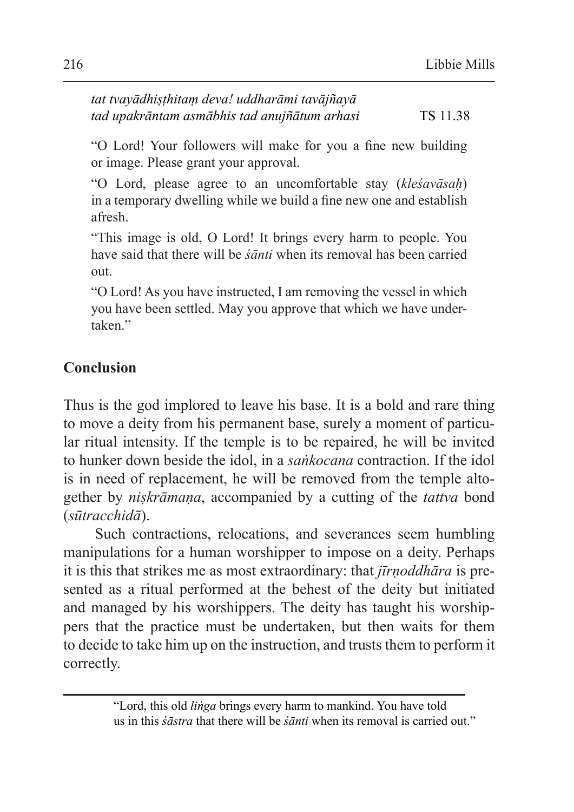| tat tvayādhiṣṭhitaṃ deva! uddharāmi tavājñayā |          |
|-----------------------------------------------|----------|
| tad upakrāntam asmābhis tad anujñātum arhasi  | TS 11.38 |

"O Lord! Your followers will make for you a fine new building or image. Please grant your approval.

"O Lord, please agree to an uncomfortable stay (*kleśavāsaḥ*) in a temporary dwelling while we build a fine new one and establish afresh.

"This image is old, O Lord! It brings every harm to people. You have said that there will be *śānti* when its removal has been carried out.

"O Lord! As you have instructed, I am removing the vessel in which you have been settled. May you approve that which we have undertaken"

### **Conclusion**

Thus is the god implored to leave his base. It is a bold and rare thing to move a deity from his permanent base, surely a moment of particular ritual intensity. If the temple is to be repaired, he will be invited to hunker down beside the idol, in a *saṅkocana* contraction. If the idol is in need of replacement, he will be removed from the temple altogether by *niṣkrāmaṇa*, accompanied by a cutting of the *tattva* bond (*sūtracchidā*).

Such contractions, relocations, and severances seem humbling manipulations for a human worshipper to impose on a deity. Perhaps it is this that strikes me as most extraordinary: that *jīrṇoddhāra* is presented as a ritual performed at the behest of the deity but initiated and managed by his worshippers. The deity has taught his worshippers that the practice must be undertaken, but then waits for them to decide to take him up on the instruction, and trusts them to perform it correctly.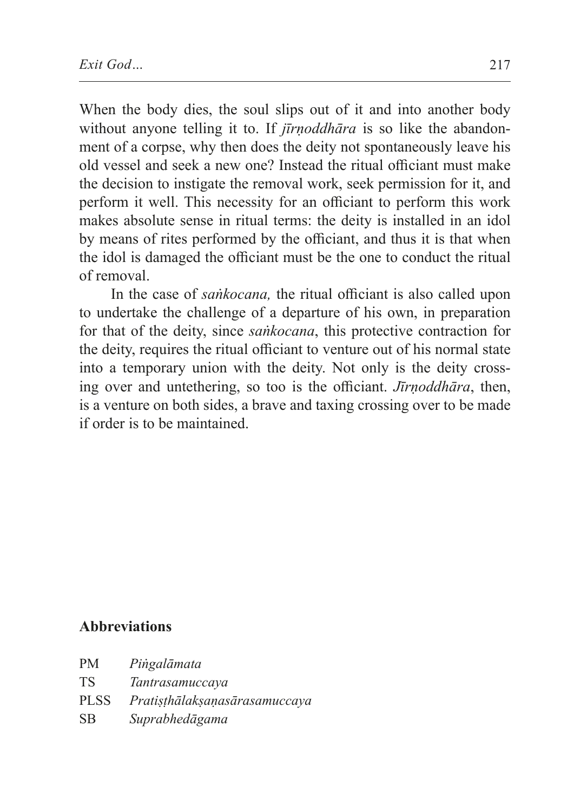When the body dies, the soul slips out of it and into another body without anyone telling it to. If *jīrnoddhāra* is so like the abandonment of a corpse, why then does the deity not spontaneously leave his old vessel and seek a new one? Instead the ritual officiant must make the decision to instigate the removal work, seek permission for it, and perform it well. This necessity for an officiant to perform this work makes absolute sense in ritual terms: the deity is installed in an idol by means of rites performed by the officiant, and thus it is that when the idol is damaged the officiant must be the one to conduct the ritual of removal.

In the case of *saṅkocana,* the ritual officiant is also called upon to undertake the challenge of a departure of his own, in preparation for that of the deity, since *saṅkocana*, this protective contraction for the deity, requires the ritual officiant to venture out of his normal state into a temporary union with the deity. Not only is the deity crossing over and untethering, so too is the officiant. *Jīrṇoddhāra*, then, is a venture on both sides, a brave and taxing crossing over to be made if order is to be maintained.

#### **Abbreviations**

PM *Piṅgalāmata* TS *Tantrasamuccaya* PLSS *Pratiṣṭhālakṣaṇasārasamuccaya* SB *Suprabhedāgama*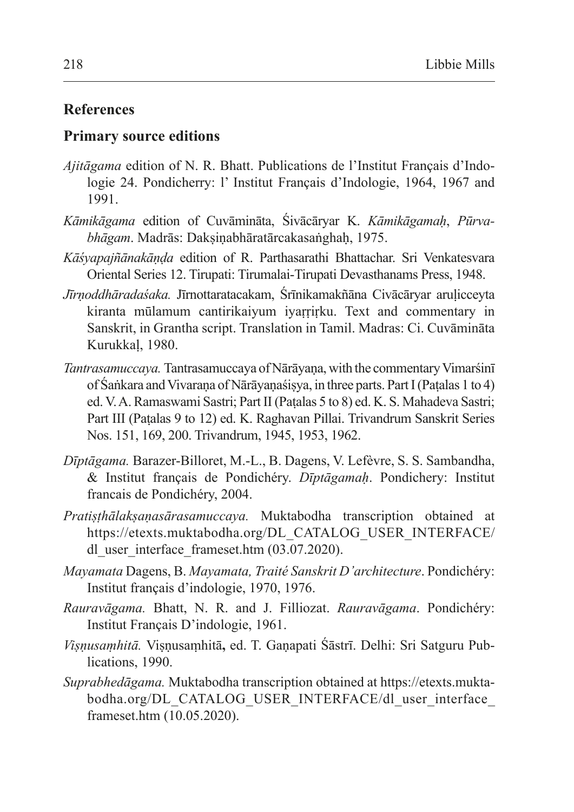#### **References**

#### **Primary source editions**

- *Ajitāgama* edition of N. R. Bhatt. Publications de l'Institut Français d'Indologie 24. Pondicherry: l' Institut Français d'Indologie, 1964, 1967 and 1991.
- *Kāmikāgama* edition of Cuvāmināta, Śivācāryar K. *Kāmikāgamaḥ*, *Pūrvabhāgam*. Madrās: Dakṣiṇabhāratārcakasaṅghaḥ, 1975.
- *Kāśyapajñānakāṇḍa* edition of R. Parthasarathi Bhattachar. Sri Venkatesvara Oriental Series 12. Tirupati: Tirumalai-Tirupati Devasthanams Press, 1948.
- *Jīrṇoddhāradaśaka.* Jīrnottaratacakam, Śrīnikamakñāna Civācāryar aruḷicceyta kiranta mūlamum cantirikaiyum iyaṛṛiṛku. Text and commentary in Sanskrit, in Grantha script. Translation in Tamil. Madras: Ci. Cuvāmināta Kurukkaḷ, 1980.
- *Tantrasamuccaya.* Tantrasamuccaya ofNārāyaṇa, with the commentary Vimarśinī of Śaṅkara and Vivaraṇa of Nārāyaṇaśiṣya, in three parts. Part I(Paṭalas 1 to 4) ed. V.A. Ramaswami Sastri; Part II(Paṭalas 5 to 8) ed. K. S. Mahadeva Sastri; Part III (Paṭalas 9 to 12) ed. K. Raghavan Pillai. Trivandrum Sanskrit Series Nos. 151, 169, 200. Trivandrum, 1945, 1953, 1962.
- *Dīptāgama.* Barazer-Billoret, M.-L., B. Dagens, V. Lefèvre, S. S. Sambandha, & Institut français de Pondichéry. *Dīptāgamaḥ*. Pondichery: Institut francais de Pondichéry, 2004.
- *Pratiṣṭhālakṣaṇasārasamuccaya.* Muktabodha transcription obtained at https://etexts.muktabodha.org/DL\_CATALOG\_USER\_INTERFACE/ dl user interface frameset.htm (03.07.2020).
- *Mayamata* Dagens, B. *Mayamata, Traité Sanskrit D'architecture*. Pondichéry: Institut français d'indologie, 1970, 1976.
- *Rauravāgama.* Bhatt, N. R. and J. Filliozat. *Rauravāgama*. Pondichéry: Institut Français D'indologie, 1961.
- *Viṣṇusaṃhitā.* Viṣṇusaṃhitā**,** ed. T. Gaṇapati Śāstrī. Delhi: Sri Satguru Publications, 1990.
- *Suprabhedāgama.* Muktabodha transcription obtained at https://etexts.muktabodha.org/DL\_CATALOG\_USER\_INTERFACE/dl\_user\_interface frameset.htm (10.05.2020).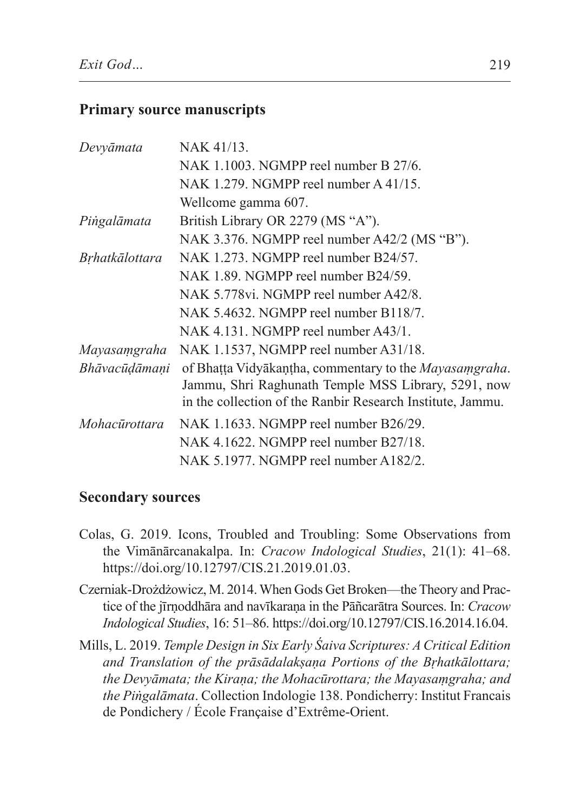#### **Primary source manuscripts**

| Devyāmata      | NAK 41/13.                                                                                                                                                                  |
|----------------|-----------------------------------------------------------------------------------------------------------------------------------------------------------------------------|
|                | NAK 1.1003. NGMPP reel number B $27/6$ .                                                                                                                                    |
|                | NAK 1.279. NGMPP reel number $A$ 41/15.                                                                                                                                     |
|                | Wellcome gamma 607.                                                                                                                                                         |
| Piṅgalāmata    | British Library OR 2279 (MS "A").                                                                                                                                           |
|                | NAK 3.376. NGMPP reel number A42/2 (MS "B").                                                                                                                                |
| Bṛhatkālottara | NAK 1.273. NGMPP reel number B24/57.                                                                                                                                        |
|                | NAK 1.89. NGMPP reel number B24/59.                                                                                                                                         |
|                | NAK 5.778vi. NGMPP reel number A42/8.                                                                                                                                       |
|                | NAK 5.4632. NGMPP reel number B118/7.                                                                                                                                       |
|                | NAK 4.131. NGMPP reel number A43/1.                                                                                                                                         |
| Mayasaṃgraha   | NAK 1.1537, NGMPP reel number A31/18.                                                                                                                                       |
| Bhāvacūḍāmaṇi  | of Bhatta Vidyākaņtha, commentary to the Mayasamgraha.<br>Jammu, Shri Raghunath Temple MSS Library, 5291, now<br>in the collection of the Ranbir Research Institute, Jammu. |
| Mohacūrottara  | NAK 1.1633. NGMPP reel number B26/29.                                                                                                                                       |
|                | NAK 4.1622. NGMPP reel number B27/18.                                                                                                                                       |
|                | NAK 5.1977. NGMPP reel number A182/2.                                                                                                                                       |

#### **Secondary sources**

- Colas, G. 2019. Icons, Troubled and Troubling: Some Observations from the Vimānārcanakalpa. In: *Cracow Indological Studies*, 21(1): 41–68. https://doi.org/10.12797/CIS.21.2019.01.03.
- Czerniak-Drożdżowicz, M. 2014. When Gods Get Broken—theTheory and Practice of the jīrṇoddhāra and navīkaraṇa in the Pāñcarātra Sources. In: *Cracow Indological Studies*, 16: 51–86. https://doi.org/10.12797/CIS.16.2014.16.04.
- Mills, L. 2019. *Temple Design in Six Early Śaiva Scriptures: A Critical Edition and Translation of the prāsādalakṣaṇa Portions of the Bṛhatkālottara; the Devyāmata; the Kiraṇa; the Mohacūrottara; the Mayasaṃgraha; and the Piṅgalāmata*. Collection Indologie 138. Pondicherry: Institut Francais de Pondichery / École Française d'Extrême-Orient.